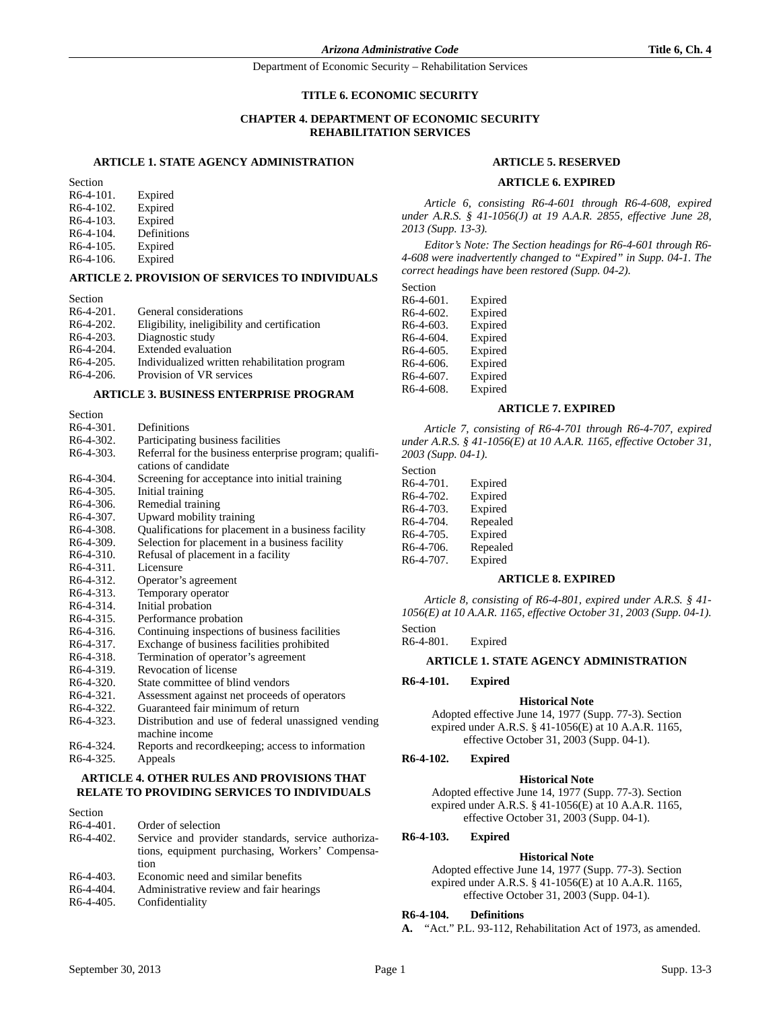### **TITLE 6. ECONOMIC SECURITY**

# **CHAPTER 4. DEPARTMENT OF ECONOMIC SECURITY REHABILITATION SERVICES**

# **ARTICLE 1. STATE AGENCY ADMINISTRATION**

Section R6-4-101. Expired R6-4-102. Expired R6-4-103. Expired<br>R6-4-104. Definition Definitions R6-4-105. Expired R6-4-106. Expired

#### **ARTICLE 2. PROVISION OF SERVICES TO INDIVIDUALS**

Section R6-4-201. General considerations R6-4-202. Eligibility, ineligibility and certification<br>R6-4-203. Diagnostic study Diagnostic study R6-4-204. Extended evaluation R6-4-205. Individualized written rehabilitation program<br>R6-4-206. Provision of VR services Provision of VR services

### **ARTICLE 3. BUSINESS ENTERPRISE PROGRAM**

| Section                |                                                        |
|------------------------|--------------------------------------------------------|
| $R6-4-301$ .           | Definitions                                            |
| R6-4-302.              | Participating business facilities                      |
| $R6-4-303.$            | Referral for the business enterprise program; qualifi- |
|                        | cations of candidate                                   |
| R <sub>6</sub> -4-304. | Screening for acceptance into initial training         |
| R6-4-305.              | Initial training                                       |
| R <sub>6</sub> -4-306. | Remedial training                                      |
| R <sub>6</sub> -4-307. | Upward mobility training                               |
| R6-4-308.              | Qualifications for placement in a business facility    |
| $R6-4-309.$            | Selection for placement in a business facility         |
| R6-4-310.              | Refusal of placement in a facility                     |
| $R6-4-311.$            | Licensure                                              |
| R <sub>6</sub> -4-312. | Operator's agreement                                   |
| R6-4-313.              | Temporary operator                                     |
| R6-4-314.              | Initial probation                                      |
| $R6-4-315$ .           | Performance probation                                  |
| R <sub>6</sub> -4-316. | Continuing inspections of business facilities          |
| R6-4-317.              | Exchange of business facilities prohibited             |
| $R6-4-318.$            | Termination of operator's agreement                    |
| R6-4-319.              | Revocation of license                                  |
| $R6-4-320.$            | State committee of blind vendors                       |
| R6-4-321.              | Assessment against net proceeds of operators           |
| R6-4-322.              | Guaranteed fair minimum of return                      |
| R6-4-323.              | Distribution and use of federal unassigned vending     |
|                        | machine income                                         |
| R <sub>6</sub> -4-324. | Reports and record keeping; access to information      |
|                        |                                                        |

# R6-4-325. Appeals **ARTICLE 4. OTHER RULES AND PROVISIONS THAT**

# **RELATE TO PROVIDING SERVICES TO INDIVIDUALS**

| Section      |                                                                                                               |
|--------------|---------------------------------------------------------------------------------------------------------------|
| $R6-4-401$ . | Order of selection                                                                                            |
| $R6-4-402.$  | Service and provider standards, service authoriza-<br>tions, equipment purchasing, Workers' Compensa-<br>tion |
| $R6-4-403.$  | Economic need and similar benefits                                                                            |
| $R6-4-404.$  | Administrative review and fair hearings                                                                       |
| R6-4-405.    | Confidentiality                                                                                               |

#### **ARTICLE 5. RESERVED**

#### **ARTICLE 6. EXPIRED**

*Article 6, consisting R6-4-601 through R6-4-608, expired under A.R.S. § 41-1056(J) at 19 A.A.R. 2855, effective June 28, 2013 (Supp. 13-3).*

*Editor's Note: The Section headings for R6-4-601 through R6- 4-608 were inadvertently changed to "Expired" in Supp. 04-1. The correct headings have been restored (Supp. 04-2).*

| Section      |         |
|--------------|---------|
| $R6-4-601$ . | Expired |
| R6-4-602     | Evnired |

| R6-4-602. | Expired |
|-----------|---------|
| R6-4-603. | Expired |
| R6-4-604. | Expired |
| R6-4-605. | Expired |
| R6-4-606. | Expired |
| R6-4-607. | Expired |
| R6-4-608. | Expired |

### **ARTICLE 7. EXPIRED**

*Article 7, consisting of R6-4-701 through R6-4-707, expired under A.R.S. § 41-1056(E) at 10 A.A.R. 1165, effective October 31, 2003 (Supp. 04-1).*

| Section   |          |
|-----------|----------|
| R6-4-701. | Expired  |
| R6-4-702. | Expired  |
| R6-4-703. | Expired  |
| R6-4-704. | Repealed |
| R6-4-705. | Expired  |
| R6-4-706. | Repealed |
| R6-4-707. | Expired  |

#### **ARTICLE 8. EXPIRED**

*Article 8, consisting of R6-4-801, expired under A.R.S. § 41- 1056(E) at 10 A.A.R. 1165, effective October 31, 2003 (Supp. 04-1).*

Section

R6-4-801. Expired

# **ARTICLE 1. STATE AGENCY ADMINISTRATION**

### **R6-4-101. Expired**

#### **Historical Note**

Adopted effective June 14, 1977 (Supp. 77-3). Section expired under A.R.S. § 41-1056(E) at 10 A.A.R. 1165, effective October 31, 2003 (Supp. 04-1).

### **R6-4-102. Expired**

#### **Historical Note**

Adopted effective June 14, 1977 (Supp. 77-3). Section expired under A.R.S. § 41-1056(E) at 10 A.A.R. 1165, effective October 31, 2003 (Supp. 04-1).

### **R6-4-103. Expired**

#### **Historical Note**

Adopted effective June 14, 1977 (Supp. 77-3). Section expired under A.R.S. § 41-1056(E) at 10 A.A.R. 1165, effective October 31, 2003 (Supp. 04-1).

#### **R6-4-104. Definitions**

**A.** "Act." P.L. 93-112, Rehabilitation Act of 1973, as amended.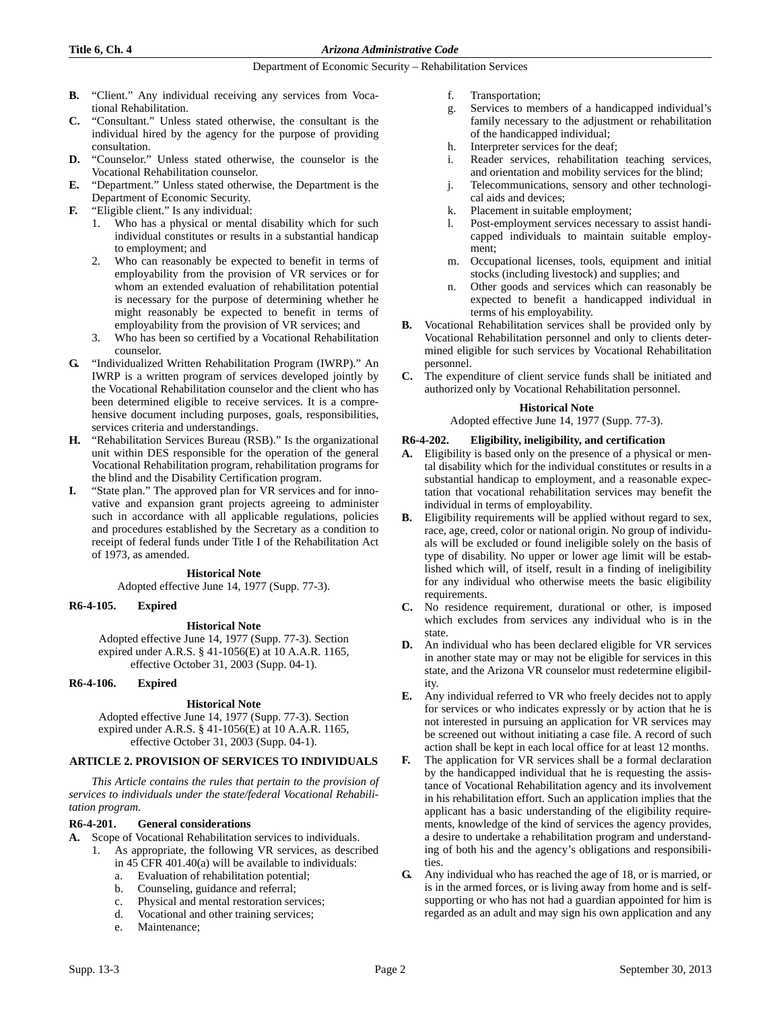- **B.** "Client." Any individual receiving any services from Vocational Rehabilitation.
- **C.** "Consultant." Unless stated otherwise, the consultant is the individual hired by the agency for the purpose of providing consultation.
- **D.** "Counselor." Unless stated otherwise, the counselor is the Vocational Rehabilitation counselor.
- **E.** "Department." Unless stated otherwise, the Department is the Department of Economic Security.
- **F.** "Eligible client." Is any individual:
	- 1. Who has a physical or mental disability which for such individual constitutes or results in a substantial handicap to employment; and
	- 2. Who can reasonably be expected to benefit in terms of employability from the provision of VR services or for whom an extended evaluation of rehabilitation potential is necessary for the purpose of determining whether he might reasonably be expected to benefit in terms of employability from the provision of VR services; and
	- 3. Who has been so certified by a Vocational Rehabilitation counselor.
- **G.** "Individualized Written Rehabilitation Program (IWRP)." An IWRP is a written program of services developed jointly by the Vocational Rehabilitation counselor and the client who has been determined eligible to receive services. It is a comprehensive document including purposes, goals, responsibilities, services criteria and understandings.
- **H.** "Rehabilitation Services Bureau (RSB)." Is the organizational unit within DES responsible for the operation of the general Vocational Rehabilitation program, rehabilitation programs for the blind and the Disability Certification program.
- **I.** "State plan." The approved plan for VR services and for innovative and expansion grant projects agreeing to administer such in accordance with all applicable regulations, policies and procedures established by the Secretary as a condition to receipt of federal funds under Title I of the Rehabilitation Act of 1973, as amended.

### **Historical Note**

Adopted effective June 14, 1977 (Supp. 77-3).

### **R6-4-105. Expired**

### **Historical Note**

Adopted effective June 14, 1977 (Supp. 77-3). Section expired under A.R.S. § 41-1056(E) at 10 A.A.R. 1165, effective October 31, 2003 (Supp. 04-1).

### **R6-4-106. Expired**

### **Historical Note**

Adopted effective June 14, 1977 (Supp. 77-3). Section expired under A.R.S. § 41-1056(E) at 10 A.A.R. 1165, effective October 31, 2003 (Supp. 04-1).

### **ARTICLE 2. PROVISION OF SERVICES TO INDIVIDUALS**

*This Article contains the rules that pertain to the provision of services to individuals under the state/federal Vocational Rehabilitation program.*

### **R6-4-201. General considerations**

- **A.** Scope of Vocational Rehabilitation services to individuals.
	- 1. As appropriate, the following VR services, as described in 45 CFR 401.40(a) will be available to individuals:
		- a. Evaluation of rehabilitation potential;
		- b. Counseling, guidance and referral;
		- c. Physical and mental restoration services;
		- d. Vocational and other training services;
		- e. Maintenance;
- f. Transportation;
- g. Services to members of a handicapped individual's family necessary to the adjustment or rehabilitation of the handicapped individual;
- h. Interpreter services for the deaf;
- i. Reader services, rehabilitation teaching services, and orientation and mobility services for the blind;
- j. Telecommunications, sensory and other technological aids and devices;
- k. Placement in suitable employment;
- l. Post-employment services necessary to assist handicapped individuals to maintain suitable employment;
- m. Occupational licenses, tools, equipment and initial stocks (including livestock) and supplies; and
- n. Other goods and services which can reasonably be expected to benefit a handicapped individual in terms of his employability.
- **B.** Vocational Rehabilitation services shall be provided only by Vocational Rehabilitation personnel and only to clients determined eligible for such services by Vocational Rehabilitation personnel.
- **C.** The expenditure of client service funds shall be initiated and authorized only by Vocational Rehabilitation personnel.

### **Historical Note**

Adopted effective June 14, 1977 (Supp. 77-3).

### **R6-4-202. Eligibility, ineligibility, and certification**

- **A.** Eligibility is based only on the presence of a physical or mental disability which for the individual constitutes or results in a substantial handicap to employment, and a reasonable expectation that vocational rehabilitation services may benefit the individual in terms of employability.
- **B.** Eligibility requirements will be applied without regard to sex, race, age, creed, color or national origin. No group of individuals will be excluded or found ineligible solely on the basis of type of disability. No upper or lower age limit will be established which will, of itself, result in a finding of ineligibility for any individual who otherwise meets the basic eligibility requirements.
- **C.** No residence requirement, durational or other, is imposed which excludes from services any individual who is in the state.
- **D.** An individual who has been declared eligible for VR services in another state may or may not be eligible for services in this state, and the Arizona VR counselor must redetermine eligibility.
- **E.** Any individual referred to VR who freely decides not to apply for services or who indicates expressly or by action that he is not interested in pursuing an application for VR services may be screened out without initiating a case file. A record of such action shall be kept in each local office for at least 12 months.
- **F.** The application for VR services shall be a formal declaration by the handicapped individual that he is requesting the assistance of Vocational Rehabilitation agency and its involvement in his rehabilitation effort. Such an application implies that the applicant has a basic understanding of the eligibility requirements, knowledge of the kind of services the agency provides, a desire to undertake a rehabilitation program and understanding of both his and the agency's obligations and responsibilities.
- **G.** Any individual who has reached the age of 18, or is married, or is in the armed forces, or is living away from home and is selfsupporting or who has not had a guardian appointed for him is regarded as an adult and may sign his own application and any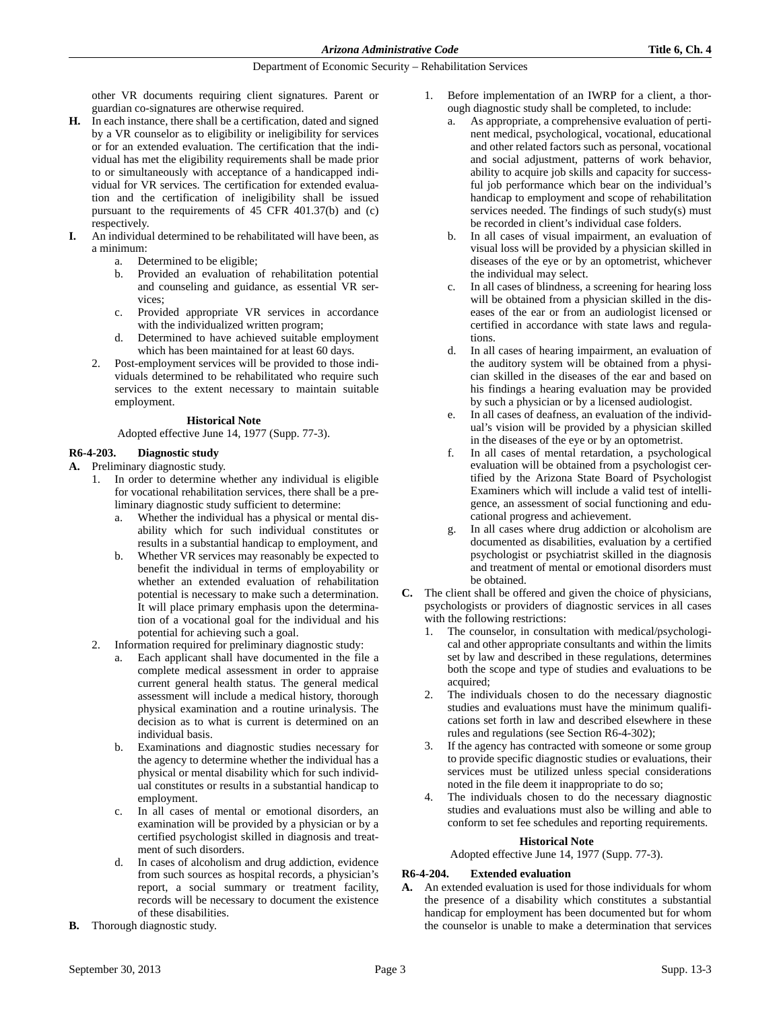other VR documents requiring client signatures. Parent or guardian co-signatures are otherwise required.

- **H.** In each instance, there shall be a certification, dated and signed by a VR counselor as to eligibility or ineligibility for services or for an extended evaluation. The certification that the individual has met the eligibility requirements shall be made prior to or simultaneously with acceptance of a handicapped individual for VR services. The certification for extended evaluation and the certification of ineligibility shall be issued pursuant to the requirements of 45 CFR 401.37(b) and (c) respectively.
- **I.** An individual determined to be rehabilitated will have been, as a minimum:
	- a. Determined to be eligible;
	- b. Provided an evaluation of rehabilitation potential and counseling and guidance, as essential VR services;
	- c. Provided appropriate VR services in accordance with the individualized written program;
	- d. Determined to have achieved suitable employment which has been maintained for at least 60 days.
	- 2. Post-employment services will be provided to those individuals determined to be rehabilitated who require such services to the extent necessary to maintain suitable employment.

# **Historical Note**

Adopted effective June 14, 1977 (Supp. 77-3).

### **R6-4-203. Diagnostic study**

**A.** Preliminary diagnostic study.

- 1. In order to determine whether any individual is eligible for vocational rehabilitation services, there shall be a preliminary diagnostic study sufficient to determine:
	- a. Whether the individual has a physical or mental disability which for such individual constitutes or results in a substantial handicap to employment, and
	- b. Whether VR services may reasonably be expected to benefit the individual in terms of employability or whether an extended evaluation of rehabilitation potential is necessary to make such a determination. It will place primary emphasis upon the determination of a vocational goal for the individual and his potential for achieving such a goal.
- 2. Information required for preliminary diagnostic study:
	- Each applicant shall have documented in the file a complete medical assessment in order to appraise current general health status. The general medical assessment will include a medical history, thorough physical examination and a routine urinalysis. The decision as to what is current is determined on an individual basis.
	- b. Examinations and diagnostic studies necessary for the agency to determine whether the individual has a physical or mental disability which for such individual constitutes or results in a substantial handicap to employment.
	- c. In all cases of mental or emotional disorders, an examination will be provided by a physician or by a certified psychologist skilled in diagnosis and treatment of such disorders.
	- d. In cases of alcoholism and drug addiction, evidence from such sources as hospital records, a physician's report, a social summary or treatment facility, records will be necessary to document the existence of these disabilities.
- **B.** Thorough diagnostic study.
- 1. Before implementation of an IWRP for a client, a thorough diagnostic study shall be completed, to include:
	- a. As appropriate, a comprehensive evaluation of pertinent medical, psychological, vocational, educational and other related factors such as personal, vocational and social adjustment, patterns of work behavior, ability to acquire job skills and capacity for successful job performance which bear on the individual's handicap to employment and scope of rehabilitation services needed. The findings of such study(s) must be recorded in client's individual case folders.
	- b. In all cases of visual impairment, an evaluation of visual loss will be provided by a physician skilled in diseases of the eye or by an optometrist, whichever the individual may select.
	- c. In all cases of blindness, a screening for hearing loss will be obtained from a physician skilled in the diseases of the ear or from an audiologist licensed or certified in accordance with state laws and regulations.
	- d. In all cases of hearing impairment, an evaluation of the auditory system will be obtained from a physician skilled in the diseases of the ear and based on his findings a hearing evaluation may be provided by such a physician or by a licensed audiologist.
	- e. In all cases of deafness, an evaluation of the individual's vision will be provided by a physician skilled in the diseases of the eye or by an optometrist.
	- f. In all cases of mental retardation, a psychological evaluation will be obtained from a psychologist certified by the Arizona State Board of Psychologist Examiners which will include a valid test of intelligence, an assessment of social functioning and educational progress and achievement.
	- g. In all cases where drug addiction or alcoholism are documented as disabilities, evaluation by a certified psychologist or psychiatrist skilled in the diagnosis and treatment of mental or emotional disorders must be obtained.
- **C.** The client shall be offered and given the choice of physicians, psychologists or providers of diagnostic services in all cases with the following restrictions:
	- 1. The counselor, in consultation with medical/psychological and other appropriate consultants and within the limits set by law and described in these regulations, determines both the scope and type of studies and evaluations to be acquired;
	- 2. The individuals chosen to do the necessary diagnostic studies and evaluations must have the minimum qualifications set forth in law and described elsewhere in these rules and regulations (see Section R6-4-302);
	- If the agency has contracted with someone or some group to provide specific diagnostic studies or evaluations, their services must be utilized unless special considerations noted in the file deem it inappropriate to do so;
	- 4. The individuals chosen to do the necessary diagnostic studies and evaluations must also be willing and able to conform to set fee schedules and reporting requirements.

# **Historical Note**

Adopted effective June 14, 1977 (Supp. 77-3).

### **R6-4-204. Extended evaluation**

**A.** An extended evaluation is used for those individuals for whom the presence of a disability which constitutes a substantial handicap for employment has been documented but for whom the counselor is unable to make a determination that services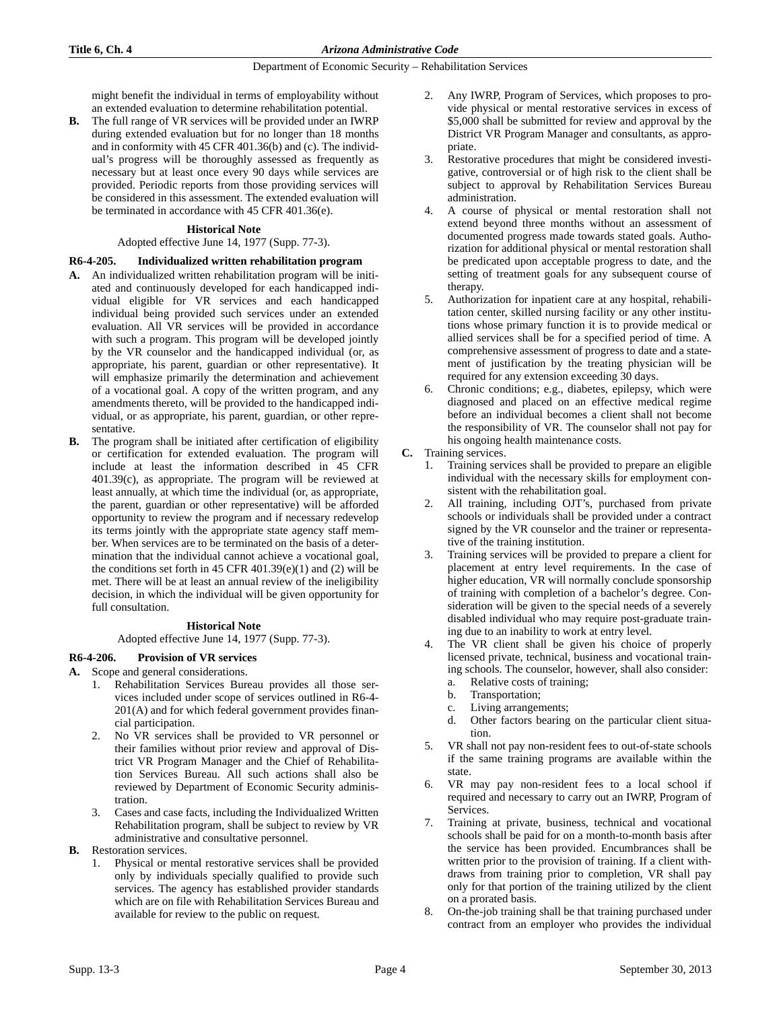might benefit the individual in terms of employability without an extended evaluation to determine rehabilitation potential.

**B.** The full range of VR services will be provided under an IWRP during extended evaluation but for no longer than 18 months and in conformity with 45 CFR 401.36(b) and (c). The individual's progress will be thoroughly assessed as frequently as necessary but at least once every 90 days while services are provided. Periodic reports from those providing services will be considered in this assessment. The extended evaluation will be terminated in accordance with 45 CFR 401.36(e).

### **Historical Note**

### Adopted effective June 14, 1977 (Supp. 77-3).

### **R6-4-205. Individualized written rehabilitation program**

- **A.** An individualized written rehabilitation program will be initiated and continuously developed for each handicapped individual eligible for VR services and each handicapped individual being provided such services under an extended evaluation. All VR services will be provided in accordance with such a program. This program will be developed jointly by the VR counselor and the handicapped individual (or, as appropriate, his parent, guardian or other representative). It will emphasize primarily the determination and achievement of a vocational goal. A copy of the written program, and any amendments thereto, will be provided to the handicapped individual, or as appropriate, his parent, guardian, or other representative.
- **B.** The program shall be initiated after certification of eligibility or certification for extended evaluation. The program will include at least the information described in 45 CFR 401.39(c), as appropriate. The program will be reviewed at least annually, at which time the individual (or, as appropriate, the parent, guardian or other representative) will be afforded opportunity to review the program and if necessary redevelop its terms jointly with the appropriate state agency staff member. When services are to be terminated on the basis of a determination that the individual cannot achieve a vocational goal, the conditions set forth in 45 CFR 401.39 $(e)(1)$  and  $(2)$  will be met. There will be at least an annual review of the ineligibility decision, in which the individual will be given opportunity for full consultation.

### **Historical Note**

Adopted effective June 14, 1977 (Supp. 77-3).

# **R6-4-206. Provision of VR services**

- **A.** Scope and general considerations.
	- 1. Rehabilitation Services Bureau provides all those services included under scope of services outlined in R6-4- 201(A) and for which federal government provides financial participation.
	- 2. No VR services shall be provided to VR personnel or their families without prior review and approval of District VR Program Manager and the Chief of Rehabilitation Services Bureau. All such actions shall also be reviewed by Department of Economic Security administration.
	- 3. Cases and case facts, including the Individualized Written Rehabilitation program, shall be subject to review by VR administrative and consultative personnel.
- **B.** Restoration services.
	- 1. Physical or mental restorative services shall be provided only by individuals specially qualified to provide such services. The agency has established provider standards which are on file with Rehabilitation Services Bureau and available for review to the public on request.
- 2. Any IWRP, Program of Services, which proposes to provide physical or mental restorative services in excess of \$5,000 shall be submitted for review and approval by the District VR Program Manager and consultants, as appropriate.
- 3. Restorative procedures that might be considered investigative, controversial or of high risk to the client shall be subject to approval by Rehabilitation Services Bureau administration.
- 4. A course of physical or mental restoration shall not extend beyond three months without an assessment of documented progress made towards stated goals. Authorization for additional physical or mental restoration shall be predicated upon acceptable progress to date, and the setting of treatment goals for any subsequent course of therapy.
- 5. Authorization for inpatient care at any hospital, rehabilitation center, skilled nursing facility or any other institutions whose primary function it is to provide medical or allied services shall be for a specified period of time. A comprehensive assessment of progress to date and a statement of justification by the treating physician will be required for any extension exceeding 30 days.
- 6. Chronic conditions; e.g., diabetes, epilepsy, which were diagnosed and placed on an effective medical regime before an individual becomes a client shall not become the responsibility of VR. The counselor shall not pay for his ongoing health maintenance costs.

### **C.** Training services.

- 1. Training services shall be provided to prepare an eligible individual with the necessary skills for employment consistent with the rehabilitation goal.
- All training, including OJT's, purchased from private schools or individuals shall be provided under a contract signed by the VR counselor and the trainer or representative of the training institution.
- Training services will be provided to prepare a client for placement at entry level requirements. In the case of higher education, VR will normally conclude sponsorship of training with completion of a bachelor's degree. Consideration will be given to the special needs of a severely disabled individual who may require post-graduate training due to an inability to work at entry level.
- 4. The VR client shall be given his choice of properly licensed private, technical, business and vocational training schools. The counselor, however, shall also consider:
	- a. Relative costs of training;
	- b. Transportation;
	- c. Living arrangements;
	- d. Other factors bearing on the particular client situation.
- 5. VR shall not pay non-resident fees to out-of-state schools if the same training programs are available within the state.
- 6. VR may pay non-resident fees to a local school if required and necessary to carry out an IWRP, Program of Services.
- 7. Training at private, business, technical and vocational schools shall be paid for on a month-to-month basis after the service has been provided. Encumbrances shall be written prior to the provision of training. If a client withdraws from training prior to completion, VR shall pay only for that portion of the training utilized by the client on a prorated basis.
- 8. On-the-job training shall be that training purchased under contract from an employer who provides the individual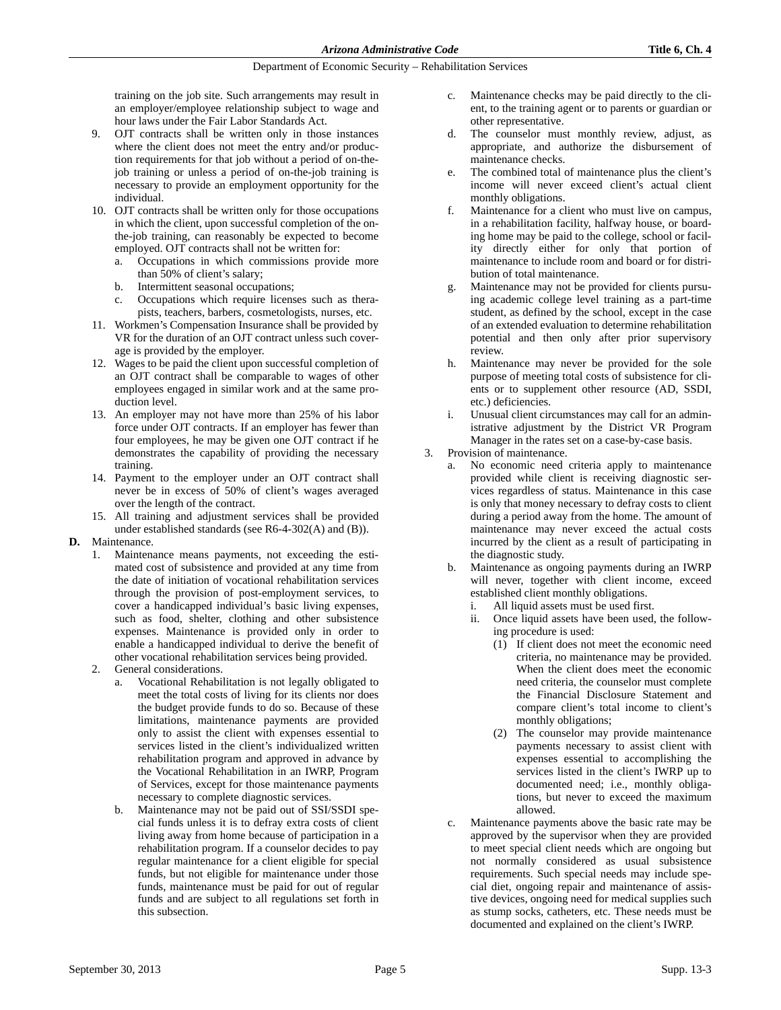training on the job site. Such arrangements may result in an employer/employee relationship subject to wage and hour laws under the Fair Labor Standards Act.

- 9. OJT contracts shall be written only in those instances where the client does not meet the entry and/or production requirements for that job without a period of on-thejob training or unless a period of on-the-job training is necessary to provide an employment opportunity for the individual.
- 10. OJT contracts shall be written only for those occupations in which the client, upon successful completion of the onthe-job training, can reasonably be expected to become employed. OJT contracts shall not be written for:
	- a. Occupations in which commissions provide more than 50% of client's salary;
	- b. Intermittent seasonal occupations;
	- c. Occupations which require licenses such as therapists, teachers, barbers, cosmetologists, nurses, etc.
- 11. Workmen's Compensation Insurance shall be provided by VR for the duration of an OJT contract unless such coverage is provided by the employer.
- 12. Wages to be paid the client upon successful completion of an OJT contract shall be comparable to wages of other employees engaged in similar work and at the same production level.
- 13. An employer may not have more than 25% of his labor force under OJT contracts. If an employer has fewer than four employees, he may be given one OJT contract if he demonstrates the capability of providing the necessary training.
- 14. Payment to the employer under an OJT contract shall never be in excess of 50% of client's wages averaged over the length of the contract.
- 15. All training and adjustment services shall be provided under established standards (see R6-4-302(A) and (B)).

### **D.** Maintenance.

- 1. Maintenance means payments, not exceeding the estimated cost of subsistence and provided at any time from the date of initiation of vocational rehabilitation services through the provision of post-employment services, to cover a handicapped individual's basic living expenses, such as food, shelter, clothing and other subsistence expenses. Maintenance is provided only in order to enable a handicapped individual to derive the benefit of other vocational rehabilitation services being provided.
- 2. General considerations.
	- a. Vocational Rehabilitation is not legally obligated to meet the total costs of living for its clients nor does the budget provide funds to do so. Because of these limitations, maintenance payments are provided only to assist the client with expenses essential to services listed in the client's individualized written rehabilitation program and approved in advance by the Vocational Rehabilitation in an IWRP, Program of Services, except for those maintenance payments necessary to complete diagnostic services.
	- b. Maintenance may not be paid out of SSI/SSDI special funds unless it is to defray extra costs of client living away from home because of participation in a rehabilitation program. If a counselor decides to pay regular maintenance for a client eligible for special funds, but not eligible for maintenance under those funds, maintenance must be paid for out of regular funds and are subject to all regulations set forth in this subsection.
- c. Maintenance checks may be paid directly to the client, to the training agent or to parents or guardian or other representative.
- d. The counselor must monthly review, adjust, as appropriate, and authorize the disbursement of maintenance checks.
- e. The combined total of maintenance plus the client's income will never exceed client's actual client monthly obligations.
- f. Maintenance for a client who must live on campus, in a rehabilitation facility, halfway house, or boarding home may be paid to the college, school or facility directly either for only that portion of maintenance to include room and board or for distribution of total maintenance.
- g. Maintenance may not be provided for clients pursuing academic college level training as a part-time student, as defined by the school, except in the case of an extended evaluation to determine rehabilitation potential and then only after prior supervisory review.
- h. Maintenance may never be provided for the sole purpose of meeting total costs of subsistence for clients or to supplement other resource (AD, SSDI, etc.) deficiencies.
- i. Unusual client circumstances may call for an administrative adjustment by the District VR Program Manager in the rates set on a case-by-case basis.
- 3. Provision of maintenance.
	- a. No economic need criteria apply to maintenance provided while client is receiving diagnostic services regardless of status. Maintenance in this case is only that money necessary to defray costs to client during a period away from the home. The amount of maintenance may never exceed the actual costs incurred by the client as a result of participating in the diagnostic study.
	- b. Maintenance as ongoing payments during an IWRP will never, together with client income, exceed established client monthly obligations.
		- i. All liquid assets must be used first.
		- ii. Once liquid assets have been used, the following procedure is used:
			- (1) If client does not meet the economic need criteria, no maintenance may be provided. When the client does meet the economic need criteria, the counselor must complete the Financial Disclosure Statement and compare client's total income to client's monthly obligations;
			- (2) The counselor may provide maintenance payments necessary to assist client with expenses essential to accomplishing the services listed in the client's IWRP up to documented need; i.e., monthly obligations, but never to exceed the maximum allowed.
	- c. Maintenance payments above the basic rate may be approved by the supervisor when they are provided to meet special client needs which are ongoing but not normally considered as usual subsistence requirements. Such special needs may include special diet, ongoing repair and maintenance of assistive devices, ongoing need for medical supplies such as stump socks, catheters, etc. These needs must be documented and explained on the client's IWRP.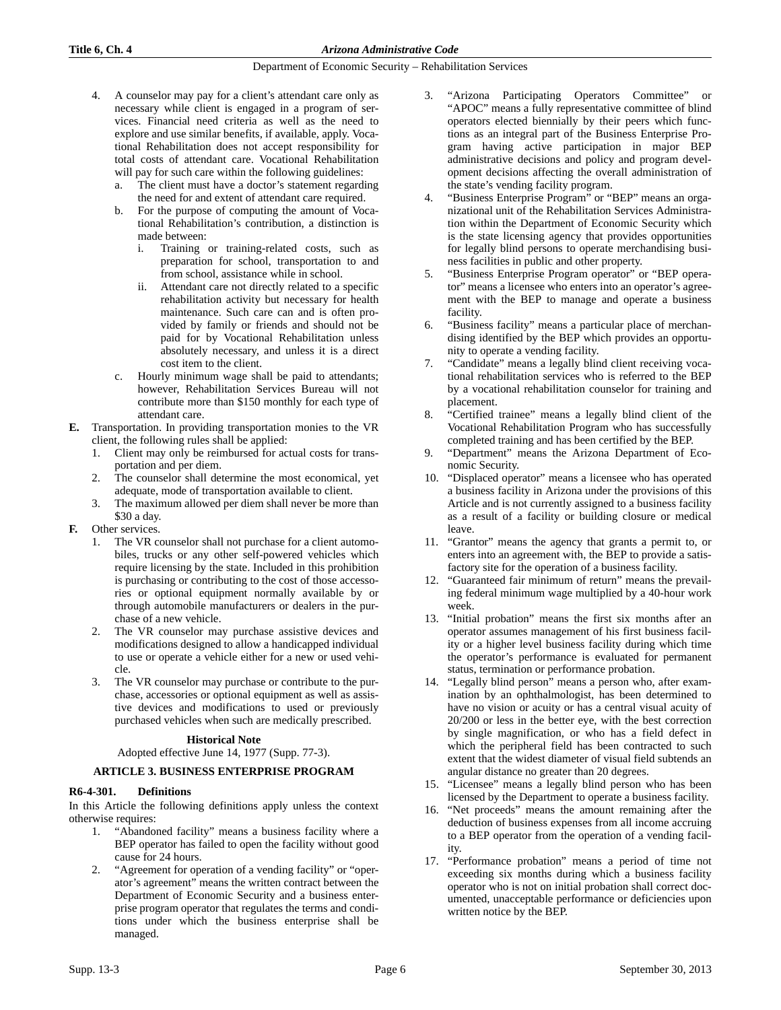- 4. A counselor may pay for a client's attendant care only as necessary while client is engaged in a program of services. Financial need criteria as well as the need to explore and use similar benefits, if available, apply. Vocational Rehabilitation does not accept responsibility for total costs of attendant care. Vocational Rehabilitation will pay for such care within the following guidelines:
	- a. The client must have a doctor's statement regarding the need for and extent of attendant care required.
	- b. For the purpose of computing the amount of Vocational Rehabilitation's contribution, a distinction is made between:
		- i. Training or training-related costs, such as preparation for school, transportation to and from school, assistance while in school.
		- ii. Attendant care not directly related to a specific rehabilitation activity but necessary for health maintenance. Such care can and is often provided by family or friends and should not be paid for by Vocational Rehabilitation unless absolutely necessary, and unless it is a direct cost item to the client.
	- c. Hourly minimum wage shall be paid to attendants; however, Rehabilitation Services Bureau will not contribute more than \$150 monthly for each type of attendant care.
- **E.** Transportation. In providing transportation monies to the VR client, the following rules shall be applied:
	- 1. Client may only be reimbursed for actual costs for transportation and per diem.
	- 2. The counselor shall determine the most economical, yet adequate, mode of transportation available to client.
	- 3. The maximum allowed per diem shall never be more than \$30 a day.
- **F.** Other services.
	- 1. The VR counselor shall not purchase for a client automobiles, trucks or any other self-powered vehicles which require licensing by the state. Included in this prohibition is purchasing or contributing to the cost of those accessories or optional equipment normally available by or through automobile manufacturers or dealers in the purchase of a new vehicle.
	- 2. The VR counselor may purchase assistive devices and modifications designed to allow a handicapped individual to use or operate a vehicle either for a new or used vehicle.
	- 3. The VR counselor may purchase or contribute to the purchase, accessories or optional equipment as well as assistive devices and modifications to used or previously purchased vehicles when such are medically prescribed.

### **Historical Note**

Adopted effective June 14, 1977 (Supp. 77-3).

# **ARTICLE 3. BUSINESS ENTERPRISE PROGRAM**

# **R6-4-301. Definitions**

In this Article the following definitions apply unless the context otherwise requires:

- 1. "Abandoned facility" means a business facility where a BEP operator has failed to open the facility without good cause for 24 hours.
- 2. "Agreement for operation of a vending facility" or "operator's agreement" means the written contract between the Department of Economic Security and a business enterprise program operator that regulates the terms and conditions under which the business enterprise shall be managed.
- 3. "Arizona Participating Operators Committee" or "APOC" means a fully representative committee of blind operators elected biennially by their peers which functions as an integral part of the Business Enterprise Program having active participation in major BEP administrative decisions and policy and program development decisions affecting the overall administration of the state's vending facility program.
- 4. "Business Enterprise Program" or "BEP" means an organizational unit of the Rehabilitation Services Administration within the Department of Economic Security which is the state licensing agency that provides opportunities for legally blind persons to operate merchandising business facilities in public and other property.
- 5. "Business Enterprise Program operator" or "BEP operator" means a licensee who enters into an operator's agreement with the BEP to manage and operate a business facility.
- 6. "Business facility" means a particular place of merchandising identified by the BEP which provides an opportunity to operate a vending facility.
- 7. "Candidate" means a legally blind client receiving vocational rehabilitation services who is referred to the BEP by a vocational rehabilitation counselor for training and placement.
- 8. "Certified trainee" means a legally blind client of the Vocational Rehabilitation Program who has successfully completed training and has been certified by the BEP.
- 9. "Department" means the Arizona Department of Economic Security.
- 10. "Displaced operator" means a licensee who has operated a business facility in Arizona under the provisions of this Article and is not currently assigned to a business facility as a result of a facility or building closure or medical leave.
- 11. "Grantor" means the agency that grants a permit to, or enters into an agreement with, the BEP to provide a satisfactory site for the operation of a business facility.
- 12. "Guaranteed fair minimum of return" means the prevailing federal minimum wage multiplied by a 40-hour work week.
- 13. "Initial probation" means the first six months after an operator assumes management of his first business facility or a higher level business facility during which time the operator's performance is evaluated for permanent status, termination or performance probation.
- 14. "Legally blind person" means a person who, after examination by an ophthalmologist, has been determined to have no vision or acuity or has a central visual acuity of 20/200 or less in the better eye, with the best correction by single magnification, or who has a field defect in which the peripheral field has been contracted to such extent that the widest diameter of visual field subtends an angular distance no greater than 20 degrees.
- 15. "Licensee" means a legally blind person who has been licensed by the Department to operate a business facility.
- 16. "Net proceeds" means the amount remaining after the deduction of business expenses from all income accruing to a BEP operator from the operation of a vending facility.
- 17. "Performance probation" means a period of time not exceeding six months during which a business facility operator who is not on initial probation shall correct documented, unacceptable performance or deficiencies upon written notice by the BEP.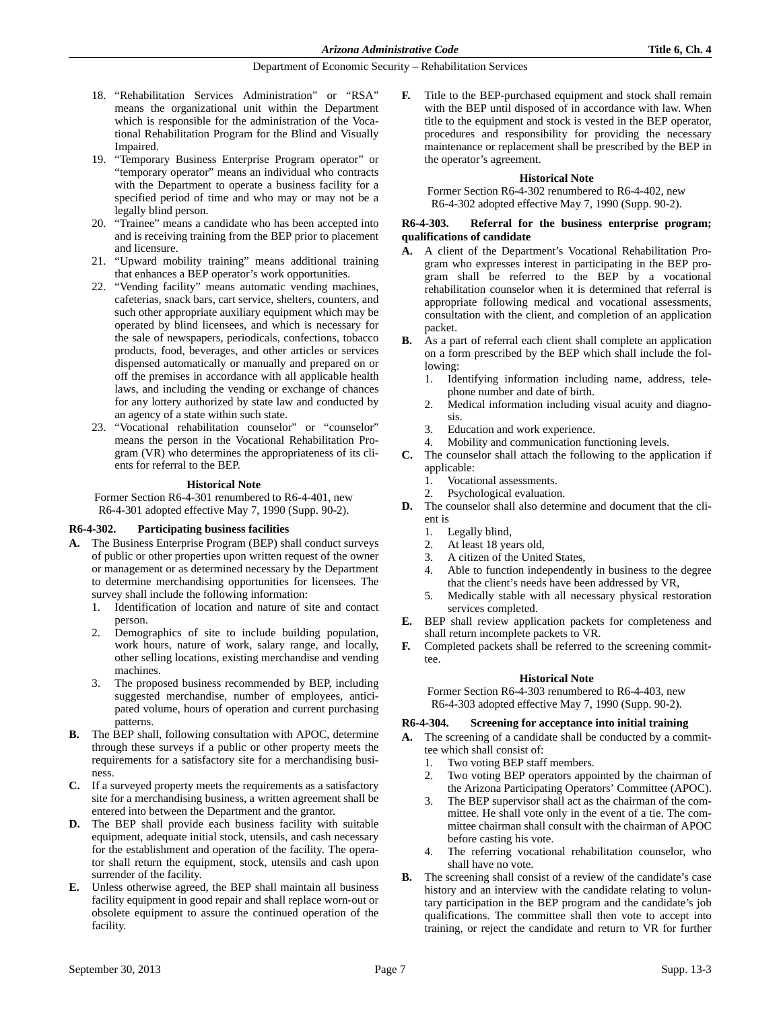- 18. "Rehabilitation Services Administration" or "RSA" means the organizational unit within the Department which is responsible for the administration of the Vocational Rehabilitation Program for the Blind and Visually Impaired.
- 19. "Temporary Business Enterprise Program operator" or "temporary operator" means an individual who contracts with the Department to operate a business facility for a specified period of time and who may or may not be a legally blind person.
- 20. "Trainee" means a candidate who has been accepted into and is receiving training from the BEP prior to placement and licensure.
- 21. "Upward mobility training" means additional training that enhances a BEP operator's work opportunities.
- 22. "Vending facility" means automatic vending machines, cafeterias, snack bars, cart service, shelters, counters, and such other appropriate auxiliary equipment which may be operated by blind licensees, and which is necessary for the sale of newspapers, periodicals, confections, tobacco products, food, beverages, and other articles or services dispensed automatically or manually and prepared on or off the premises in accordance with all applicable health laws, and including the vending or exchange of chances for any lottery authorized by state law and conducted by an agency of a state within such state.
- 23. "Vocational rehabilitation counselor" or "counselor" means the person in the Vocational Rehabilitation Program (VR) who determines the appropriateness of its clients for referral to the BEP.

### **Historical Note**

Former Section R6-4-301 renumbered to R6-4-401, new R6-4-301 adopted effective May 7, 1990 (Supp. 90-2).

### **R6-4-302. Participating business facilities**

- **A.** The Business Enterprise Program (BEP) shall conduct surveys of public or other properties upon written request of the owner or management or as determined necessary by the Department to determine merchandising opportunities for licensees. The survey shall include the following information:
	- 1. Identification of location and nature of site and contact person.
	- 2. Demographics of site to include building population, work hours, nature of work, salary range, and locally, other selling locations, existing merchandise and vending machines.
	- 3. The proposed business recommended by BEP, including suggested merchandise, number of employees, anticipated volume, hours of operation and current purchasing patterns.
- **B.** The BEP shall, following consultation with APOC, determine through these surveys if a public or other property meets the requirements for a satisfactory site for a merchandising business.
- **C.** If a surveyed property meets the requirements as a satisfactory site for a merchandising business, a written agreement shall be entered into between the Department and the grantor.
- **D.** The BEP shall provide each business facility with suitable equipment, adequate initial stock, utensils, and cash necessary for the establishment and operation of the facility. The operator shall return the equipment, stock, utensils and cash upon surrender of the facility.
- **E.** Unless otherwise agreed, the BEP shall maintain all business facility equipment in good repair and shall replace worn-out or obsolete equipment to assure the continued operation of the facility.

**F.** Title to the BEP-purchased equipment and stock shall remain with the BEP until disposed of in accordance with law. When title to the equipment and stock is vested in the BEP operator, procedures and responsibility for providing the necessary maintenance or replacement shall be prescribed by the BEP in the operator's agreement.

### **Historical Note**

Former Section R6-4-302 renumbered to R6-4-402, new R6-4-302 adopted effective May 7, 1990 (Supp. 90-2).

### **R6-4-303. Referral for the business enterprise program; qualifications of candidate**

- **A.** A client of the Department's Vocational Rehabilitation Program who expresses interest in participating in the BEP program shall be referred to the BEP by a vocational rehabilitation counselor when it is determined that referral is appropriate following medical and vocational assessments, consultation with the client, and completion of an application packet.
- **B.** As a part of referral each client shall complete an application on a form prescribed by the BEP which shall include the following:
	- 1. Identifying information including name, address, telephone number and date of birth.
	- 2. Medical information including visual acuity and diagnosis.
	- 3. Education and work experience.
	- 4. Mobility and communication functioning levels.
- **C.** The counselor shall attach the following to the application if applicable:
	- 1. Vocational assessments.
	- 2. Psychological evaluation.
- **D.** The counselor shall also determine and document that the client is
	- 1. Legally blind,
	- 2. At least 18 years old,
	- 3. A citizen of the United States,
	- 4. Able to function independently in business to the degree that the client's needs have been addressed by VR,
	- 5. Medically stable with all necessary physical restoration services completed.
- **E.** BEP shall review application packets for completeness and shall return incomplete packets to VR.
- **F.** Completed packets shall be referred to the screening committee.

### **Historical Note**

Former Section R6-4-303 renumbered to R6-4-403, new R6-4-303 adopted effective May 7, 1990 (Supp. 90-2).

### **R6-4-304. Screening for acceptance into initial training**

- **A.** The screening of a candidate shall be conducted by a committee which shall consist of:
	- 1. Two voting BEP staff members.
	- 2. Two voting BEP operators appointed by the chairman of the Arizona Participating Operators' Committee (APOC).
	- The BEP supervisor shall act as the chairman of the committee. He shall vote only in the event of a tie. The committee chairman shall consult with the chairman of APOC before casting his vote.
	- 4. The referring vocational rehabilitation counselor, who shall have no vote.
- **B.** The screening shall consist of a review of the candidate's case history and an interview with the candidate relating to voluntary participation in the BEP program and the candidate's job qualifications. The committee shall then vote to accept into training, or reject the candidate and return to VR for further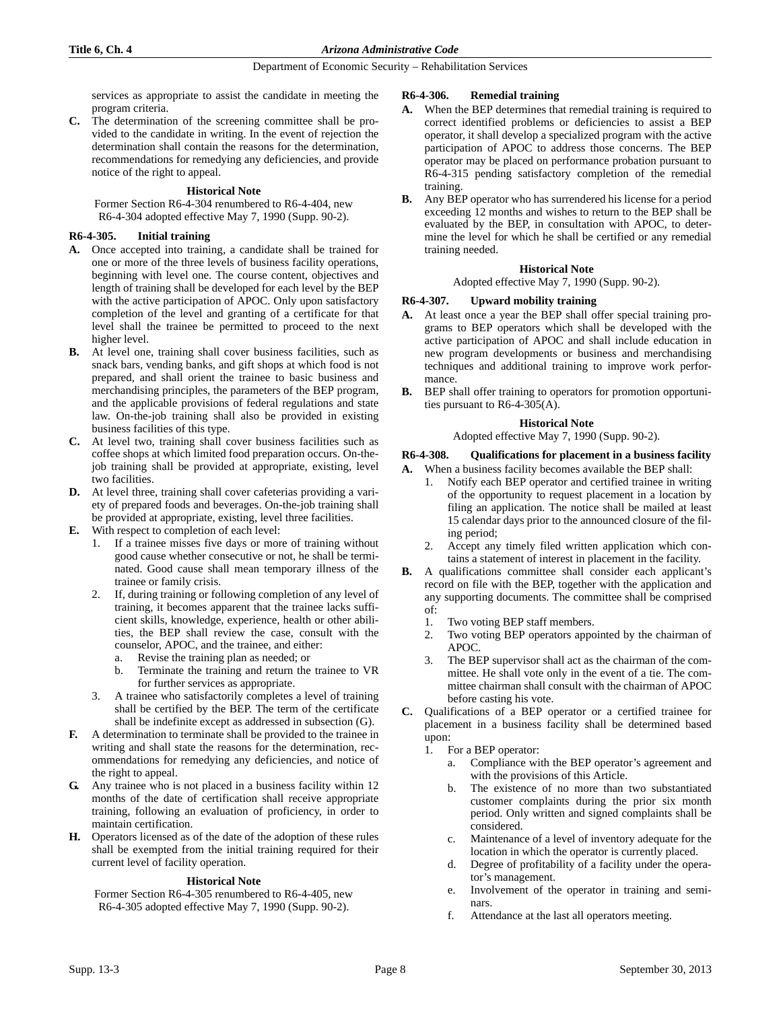services as appropriate to assist the candidate in meeting the program criteria.

**C.** The determination of the screening committee shall be provided to the candidate in writing. In the event of rejection the determination shall contain the reasons for the determination, recommendations for remedying any deficiencies, and provide notice of the right to appeal.

### **Historical Note**

Former Section R6-4-304 renumbered to R6-4-404, new R6-4-304 adopted effective May 7, 1990 (Supp. 90-2).

### **R6-4-305. Initial training**

- **A.** Once accepted into training, a candidate shall be trained for one or more of the three levels of business facility operations, beginning with level one. The course content, objectives and length of training shall be developed for each level by the BEP with the active participation of APOC. Only upon satisfactory completion of the level and granting of a certificate for that level shall the trainee be permitted to proceed to the next higher level.
- **B.** At level one, training shall cover business facilities, such as snack bars, vending banks, and gift shops at which food is not prepared, and shall orient the trainee to basic business and merchandising principles, the parameters of the BEP program, and the applicable provisions of federal regulations and state law. On-the-job training shall also be provided in existing business facilities of this type.
- **C.** At level two, training shall cover business facilities such as coffee shops at which limited food preparation occurs. On-thejob training shall be provided at appropriate, existing, level two facilities.
- **D.** At level three, training shall cover cafeterias providing a variety of prepared foods and beverages. On-the-job training shall be provided at appropriate, existing, level three facilities.
- **E.** With respect to completion of each level:
	- 1. If a trainee misses five days or more of training without good cause whether consecutive or not, he shall be terminated. Good cause shall mean temporary illness of the trainee or family crisis.
	- 2. If, during training or following completion of any level of training, it becomes apparent that the trainee lacks sufficient skills, knowledge, experience, health or other abilities, the BEP shall review the case, consult with the counselor, APOC, and the trainee, and either:
		- Revise the training plan as needed; or
		- b. Terminate the training and return the trainee to VR for further services as appropriate.
	- 3. A trainee who satisfactorily completes a level of training shall be certified by the BEP. The term of the certificate shall be indefinite except as addressed in subsection (G).
- **F.** A determination to terminate shall be provided to the trainee in writing and shall state the reasons for the determination, recommendations for remedying any deficiencies, and notice of the right to appeal.
- **G.** Any trainee who is not placed in a business facility within 12 months of the date of certification shall receive appropriate training, following an evaluation of proficiency, in order to maintain certification.
- **H.** Operators licensed as of the date of the adoption of these rules shall be exempted from the initial training required for their current level of facility operation.

### **Historical Note**

Former Section R6-4-305 renumbered to R6-4-405, new R6-4-305 adopted effective May 7, 1990 (Supp. 90-2).

### **R6-4-306. Remedial training**

- **A.** When the BEP determines that remedial training is required to correct identified problems or deficiencies to assist a BEP operator, it shall develop a specialized program with the active participation of APOC to address those concerns. The BEP operator may be placed on performance probation pursuant to R6-4-315 pending satisfactory completion of the remedial training.
- **B.** Any BEP operator who has surrendered his license for a period exceeding 12 months and wishes to return to the BEP shall be evaluated by the BEP, in consultation with APOC, to determine the level for which he shall be certified or any remedial training needed.

### **Historical Note**

Adopted effective May 7, 1990 (Supp. 90-2).

### **R6-4-307. Upward mobility training**

- **A.** At least once a year the BEP shall offer special training programs to BEP operators which shall be developed with the active participation of APOC and shall include education in new program developments or business and merchandising techniques and additional training to improve work performance.
- **B.** BEP shall offer training to operators for promotion opportunities pursuant to R6-4-305(A).

### **Historical Note**

### Adopted effective May 7, 1990 (Supp. 90-2).

# **R6-4-308. Qualifications for placement in a business facility**

**A.** When a business facility becomes available the BEP shall:

- 1. Notify each BEP operator and certified trainee in writing of the opportunity to request placement in a location by filing an application. The notice shall be mailed at least 15 calendar days prior to the announced closure of the filing period;
- 2. Accept any timely filed written application which contains a statement of interest in placement in the facility.
- **B.** A qualifications committee shall consider each applicant's record on file with the BEP, together with the application and any supporting documents. The committee shall be comprised of:
	- 1. Two voting BEP staff members.
	- 2. Two voting BEP operators appointed by the chairman of APOC.
	- 3. The BEP supervisor shall act as the chairman of the committee. He shall vote only in the event of a tie. The committee chairman shall consult with the chairman of APOC before casting his vote.
- **C.** Qualifications of a BEP operator or a certified trainee for placement in a business facility shall be determined based upon:
	- 1. For a BEP operator:
		- a. Compliance with the BEP operator's agreement and with the provisions of this Article.
		- b. The existence of no more than two substantiated customer complaints during the prior six month period. Only written and signed complaints shall be considered.
		- c. Maintenance of a level of inventory adequate for the location in which the operator is currently placed.
		- d. Degree of profitability of a facility under the operator's management.
		- e. Involvement of the operator in training and seminars.
		- f. Attendance at the last all operators meeting.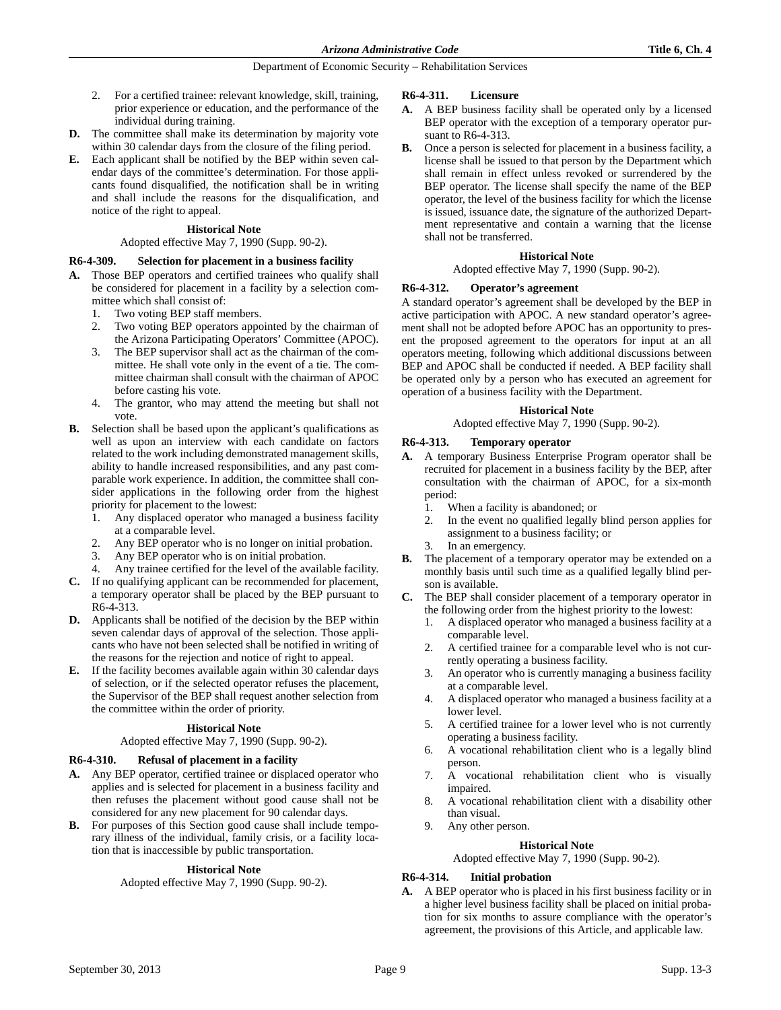- 2. For a certified trainee: relevant knowledge, skill, training, prior experience or education, and the performance of the individual during training.
- **D.** The committee shall make its determination by majority vote within 30 calendar days from the closure of the filing period.
- **E.** Each applicant shall be notified by the BEP within seven calendar days of the committee's determination. For those applicants found disqualified, the notification shall be in writing and shall include the reasons for the disqualification, and notice of the right to appeal.

### **Historical Note**

### Adopted effective May 7, 1990 (Supp. 90-2).

# **R6-4-309. Selection for placement in a business facility**

- **A.** Those BEP operators and certified trainees who qualify shall be considered for placement in a facility by a selection committee which shall consist of:
	- 1. Two voting BEP staff members.
	- 2. Two voting BEP operators appointed by the chairman of the Arizona Participating Operators' Committee (APOC).
	- 3. The BEP supervisor shall act as the chairman of the committee. He shall vote only in the event of a tie. The committee chairman shall consult with the chairman of APOC before casting his vote.
	- 4. The grantor, who may attend the meeting but shall not vote.
- **B.** Selection shall be based upon the applicant's qualifications as well as upon an interview with each candidate on factors related to the work including demonstrated management skills, ability to handle increased responsibilities, and any past comparable work experience. In addition, the committee shall consider applications in the following order from the highest priority for placement to the lowest:
	- 1. Any displaced operator who managed a business facility at a comparable level.
	- 2. Any BEP operator who is no longer on initial probation.
	- 3. Any BEP operator who is on initial probation.
	- 4. Any trainee certified for the level of the available facility.
- **C.** If no qualifying applicant can be recommended for placement, a temporary operator shall be placed by the BEP pursuant to R6-4-313.
- **D.** Applicants shall be notified of the decision by the BEP within seven calendar days of approval of the selection. Those applicants who have not been selected shall be notified in writing of the reasons for the rejection and notice of right to appeal.
- **E.** If the facility becomes available again within 30 calendar days of selection, or if the selected operator refuses the placement, the Supervisor of the BEP shall request another selection from the committee within the order of priority.

### **Historical Note**

### Adopted effective May 7, 1990 (Supp. 90-2).

### **R6-4-310. Refusal of placement in a facility**

- **A.** Any BEP operator, certified trainee or displaced operator who applies and is selected for placement in a business facility and then refuses the placement without good cause shall not be considered for any new placement for 90 calendar days.
- **B.** For purposes of this Section good cause shall include temporary illness of the individual, family crisis, or a facility location that is inaccessible by public transportation.

### **Historical Note**

Adopted effective May 7, 1990 (Supp. 90-2).

### **R6-4-311. Licensure**

- **A.** A BEP business facility shall be operated only by a licensed BEP operator with the exception of a temporary operator pursuant to R6-4-313.
- **B.** Once a person is selected for placement in a business facility, a license shall be issued to that person by the Department which shall remain in effect unless revoked or surrendered by the BEP operator. The license shall specify the name of the BEP operator, the level of the business facility for which the license is issued, issuance date, the signature of the authorized Department representative and contain a warning that the license shall not be transferred.

### **Historical Note**

#### Adopted effective May 7, 1990 (Supp. 90-2).

# **R6-4-312. Operator's agreement**

A standard operator's agreement shall be developed by the BEP in active participation with APOC. A new standard operator's agreement shall not be adopted before APOC has an opportunity to present the proposed agreement to the operators for input at an all operators meeting, following which additional discussions between BEP and APOC shall be conducted if needed. A BEP facility shall be operated only by a person who has executed an agreement for operation of a business facility with the Department.

### **Historical Note**

#### Adopted effective May 7, 1990 (Supp. 90-2).

### **R6-4-313. Temporary operator**

- **A.** A temporary Business Enterprise Program operator shall be recruited for placement in a business facility by the BEP, after consultation with the chairman of APOC, for a six-month period:
	- 1. When a facility is abandoned; or
	- 2. In the event no qualified legally blind person applies for assignment to a business facility; or
	- 3. In an emergency.
- **B.** The placement of a temporary operator may be extended on a monthly basis until such time as a qualified legally blind person is available.
- **C.** The BEP shall consider placement of a temporary operator in the following order from the highest priority to the lowest:
	- 1. A displaced operator who managed a business facility at a comparable level.
	- 2. A certified trainee for a comparable level who is not currently operating a business facility.
	- 3. An operator who is currently managing a business facility at a comparable level.
	- 4. A displaced operator who managed a business facility at a lower level.
	- 5. A certified trainee for a lower level who is not currently operating a business facility.
	- 6. A vocational rehabilitation client who is a legally blind person.
	- 7. A vocational rehabilitation client who is visually impaired.
	- 8. A vocational rehabilitation client with a disability other than visual.
	- 9. Any other person.

# **Historical Note**

### Adopted effective May 7, 1990 (Supp. 90-2).

### **R6-4-314. Initial probation**

**A.** A BEP operator who is placed in his first business facility or in a higher level business facility shall be placed on initial probation for six months to assure compliance with the operator's agreement, the provisions of this Article, and applicable law.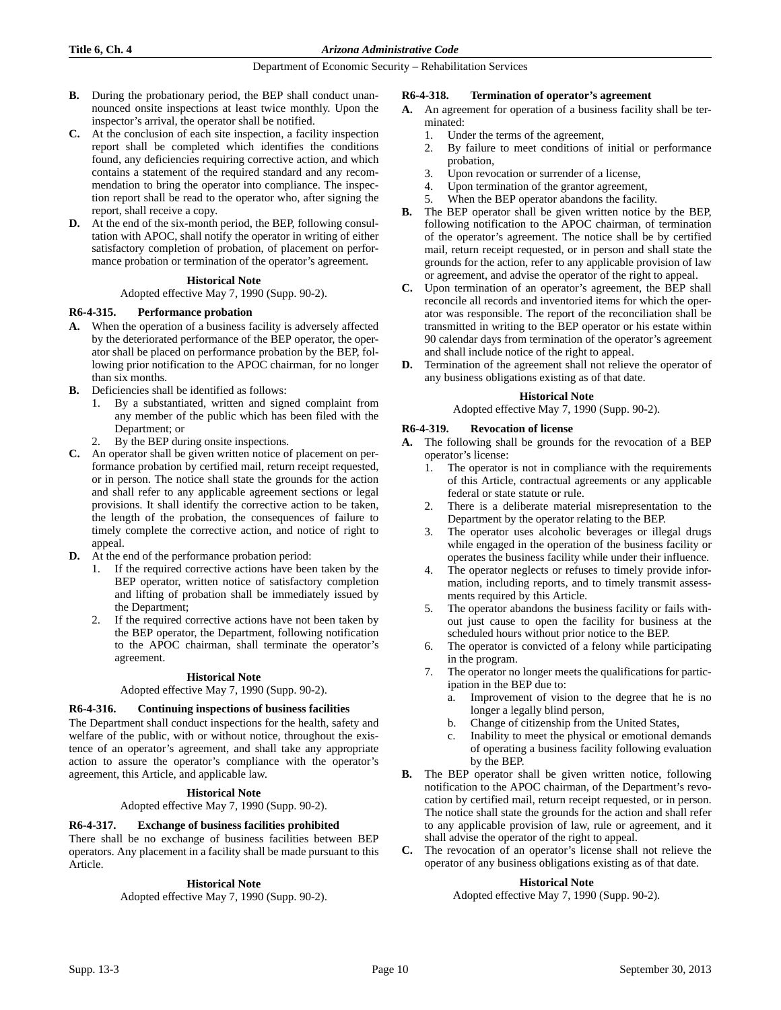- **B.** During the probationary period, the BEP shall conduct unannounced onsite inspections at least twice monthly. Upon the inspector's arrival, the operator shall be notified.
- **C.** At the conclusion of each site inspection, a facility inspection report shall be completed which identifies the conditions found, any deficiencies requiring corrective action, and which contains a statement of the required standard and any recommendation to bring the operator into compliance. The inspection report shall be read to the operator who, after signing the report, shall receive a copy.
- **D.** At the end of the six-month period, the BEP, following consultation with APOC, shall notify the operator in writing of either satisfactory completion of probation, of placement on performance probation or termination of the operator's agreement.

### **Historical Note**

Adopted effective May 7, 1990 (Supp. 90-2).

### **R6-4-315. Performance probation**

- **A.** When the operation of a business facility is adversely affected by the deteriorated performance of the BEP operator, the operator shall be placed on performance probation by the BEP, following prior notification to the APOC chairman, for no longer than six months.
- **B.** Deficiencies shall be identified as follows:
	- 1. By a substantiated, written and signed complaint from any member of the public which has been filed with the Department; or
	- By the BEP during onsite inspections.
- **C.** An operator shall be given written notice of placement on performance probation by certified mail, return receipt requested, or in person. The notice shall state the grounds for the action and shall refer to any applicable agreement sections or legal provisions. It shall identify the corrective action to be taken, the length of the probation, the consequences of failure to timely complete the corrective action, and notice of right to appeal.
- **D.** At the end of the performance probation period:
	- 1. If the required corrective actions have been taken by the BEP operator, written notice of satisfactory completion and lifting of probation shall be immediately issued by the Department;
	- 2. If the required corrective actions have not been taken by the BEP operator, the Department, following notification to the APOC chairman, shall terminate the operator's agreement.

### **Historical Note**

#### Adopted effective May 7, 1990 (Supp. 90-2).

### **R6-4-316. Continuing inspections of business facilities**

The Department shall conduct inspections for the health, safety and welfare of the public, with or without notice, throughout the existence of an operator's agreement, and shall take any appropriate action to assure the operator's compliance with the operator's agreement, this Article, and applicable law.

### **Historical Note**

Adopted effective May 7, 1990 (Supp. 90-2).

### **R6-4-317. Exchange of business facilities prohibited**

There shall be no exchange of business facilities between BEP operators. Any placement in a facility shall be made pursuant to this Article.

### **Historical Note**

Adopted effective May 7, 1990 (Supp. 90-2).

### **R6-4-318. Termination of operator's agreement**

- **A.** An agreement for operation of a business facility shall be terminated:
	- 1. Under the terms of the agreement,
	- 2. By failure to meet conditions of initial or performance probation,
	- 3. Upon revocation or surrender of a license,
	- 4. Upon termination of the grantor agreement,
	- 5. When the BEP operator abandons the facility.
- **B.** The BEP operator shall be given written notice by the BEP, following notification to the APOC chairman, of termination of the operator's agreement. The notice shall be by certified mail, return receipt requested, or in person and shall state the grounds for the action, refer to any applicable provision of law or agreement, and advise the operator of the right to appeal.
- **C.** Upon termination of an operator's agreement, the BEP shall reconcile all records and inventoried items for which the operator was responsible. The report of the reconciliation shall be transmitted in writing to the BEP operator or his estate within 90 calendar days from termination of the operator's agreement and shall include notice of the right to appeal.
- **D.** Termination of the agreement shall not relieve the operator of any business obligations existing as of that date.

#### **Historical Note**

Adopted effective May 7, 1990 (Supp. 90-2).

### **R6-4-319. Revocation of license**

- **A.** The following shall be grounds for the revocation of a BEP operator's license:
	- 1. The operator is not in compliance with the requirements of this Article, contractual agreements or any applicable federal or state statute or rule.
	- 2. There is a deliberate material misrepresentation to the Department by the operator relating to the BEP.
	- 3. The operator uses alcoholic beverages or illegal drugs while engaged in the operation of the business facility or operates the business facility while under their influence.
	- 4. The operator neglects or refuses to timely provide information, including reports, and to timely transmit assessments required by this Article.
	- 5. The operator abandons the business facility or fails without just cause to open the facility for business at the scheduled hours without prior notice to the BEP.
	- 6. The operator is convicted of a felony while participating in the program.
	- 7. The operator no longer meets the qualifications for participation in the BEP due to:
		- a. Improvement of vision to the degree that he is no longer a legally blind person,
		- b. Change of citizenship from the United States,
		- c. Inability to meet the physical or emotional demands of operating a business facility following evaluation by the BEP.
- **B.** The BEP operator shall be given written notice, following notification to the APOC chairman, of the Department's revocation by certified mail, return receipt requested, or in person. The notice shall state the grounds for the action and shall refer to any applicable provision of law, rule or agreement, and it shall advise the operator of the right to appeal.
- **C.** The revocation of an operator's license shall not relieve the operator of any business obligations existing as of that date.

### **Historical Note**

Adopted effective May 7, 1990 (Supp. 90-2).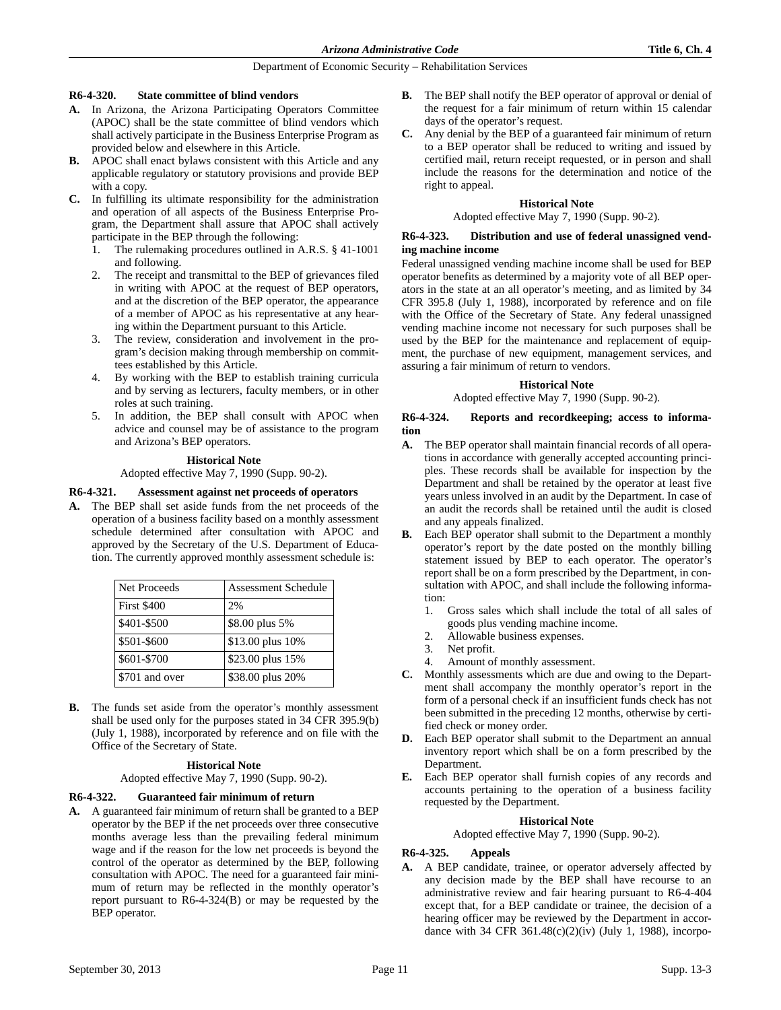#### **R6-4-320. State committee of blind vendors**

- **A.** In Arizona, the Arizona Participating Operators Committee (APOC) shall be the state committee of blind vendors which shall actively participate in the Business Enterprise Program as provided below and elsewhere in this Article.
- **B.** APOC shall enact bylaws consistent with this Article and any applicable regulatory or statutory provisions and provide BEP with a copy.
- **C.** In fulfilling its ultimate responsibility for the administration and operation of all aspects of the Business Enterprise Program, the Department shall assure that APOC shall actively participate in the BEP through the following:
	- 1. The rulemaking procedures outlined in A.R.S. § 41-1001 and following.
	- The receipt and transmittal to the BEP of grievances filed in writing with APOC at the request of BEP operators, and at the discretion of the BEP operator, the appearance of a member of APOC as his representative at any hearing within the Department pursuant to this Article.
	- The review, consideration and involvement in the program's decision making through membership on committees established by this Article.
	- 4. By working with the BEP to establish training curricula and by serving as lecturers, faculty members, or in other roles at such training.
	- 5. In addition, the BEP shall consult with APOC when advice and counsel may be of assistance to the program and Arizona's BEP operators.

### **Historical Note**

Adopted effective May 7, 1990 (Supp. 90-2).

### **R6-4-321. Assessment against net proceeds of operators**

**A.** The BEP shall set aside funds from the net proceeds of the operation of a business facility based on a monthly assessment schedule determined after consultation with APOC and approved by the Secretary of the U.S. Department of Education. The currently approved monthly assessment schedule is:

| Net Proceeds       | <b>Assessment Schedule</b> |
|--------------------|----------------------------|
| <b>First \$400</b> | 2%                         |
| \$401-\$500        | \$8.00 plus 5%             |
| \$501-\$600        | \$13.00 plus 10%           |
| \$601-\$700        | \$23.00 plus 15%           |
| \$701 and over     | \$38.00 plus 20%           |

**B.** The funds set aside from the operator's monthly assessment shall be used only for the purposes stated in 34 CFR 395.9(b) (July 1, 1988), incorporated by reference and on file with the Office of the Secretary of State.

### **Historical Note**

Adopted effective May 7, 1990 (Supp. 90-2).

### **R6-4-322. Guaranteed fair minimum of return**

**A.** A guaranteed fair minimum of return shall be granted to a BEP operator by the BEP if the net proceeds over three consecutive months average less than the prevailing federal minimum wage and if the reason for the low net proceeds is beyond the control of the operator as determined by the BEP, following consultation with APOC. The need for a guaranteed fair minimum of return may be reflected in the monthly operator's report pursuant to R6-4-324(B) or may be requested by the BEP operator.

- **B.** The BEP shall notify the BEP operator of approval or denial of the request for a fair minimum of return within 15 calendar days of the operator's request.
- **C.** Any denial by the BEP of a guaranteed fair minimum of return to a BEP operator shall be reduced to writing and issued by certified mail, return receipt requested, or in person and shall include the reasons for the determination and notice of the right to appeal.

### **Historical Note**

Adopted effective May 7, 1990 (Supp. 90-2).

### **R6-4-323. Distribution and use of federal unassigned vending machine income**

Federal unassigned vending machine income shall be used for BEP operator benefits as determined by a majority vote of all BEP operators in the state at an all operator's meeting, and as limited by 34 CFR 395.8 (July 1, 1988), incorporated by reference and on file with the Office of the Secretary of State. Any federal unassigned vending machine income not necessary for such purposes shall be used by the BEP for the maintenance and replacement of equipment, the purchase of new equipment, management services, and assuring a fair minimum of return to vendors.

### **Historical Note**

Adopted effective May 7, 1990 (Supp. 90-2).

#### **R6-4-324. Reports and recordkeeping; access to information**

- **A.** The BEP operator shall maintain financial records of all operations in accordance with generally accepted accounting principles. These records shall be available for inspection by the Department and shall be retained by the operator at least five years unless involved in an audit by the Department. In case of an audit the records shall be retained until the audit is closed and any appeals finalized.
- **B.** Each BEP operator shall submit to the Department a monthly operator's report by the date posted on the monthly billing statement issued by BEP to each operator. The operator's report shall be on a form prescribed by the Department, in consultation with APOC, and shall include the following information:
	- 1. Gross sales which shall include the total of all sales of goods plus vending machine income.
	- 2. Allowable business expenses.
	- 3. Net profit.
	- 4. Amount of monthly assessment.
- **C.** Monthly assessments which are due and owing to the Department shall accompany the monthly operator's report in the form of a personal check if an insufficient funds check has not been submitted in the preceding 12 months, otherwise by certified check or money order.
- **D.** Each BEP operator shall submit to the Department an annual inventory report which shall be on a form prescribed by the Department.
- **E.** Each BEP operator shall furnish copies of any records and accounts pertaining to the operation of a business facility requested by the Department.

### **Historical Note**

Adopted effective May 7, 1990 (Supp. 90-2).

### **R6-4-325. Appeals**

**A.** A BEP candidate, trainee, or operator adversely affected by any decision made by the BEP shall have recourse to an administrative review and fair hearing pursuant to R6-4-404 except that, for a BEP candidate or trainee, the decision of a hearing officer may be reviewed by the Department in accordance with 34 CFR 361.48(c)(2)(iv) (July 1, 1988), incorpo-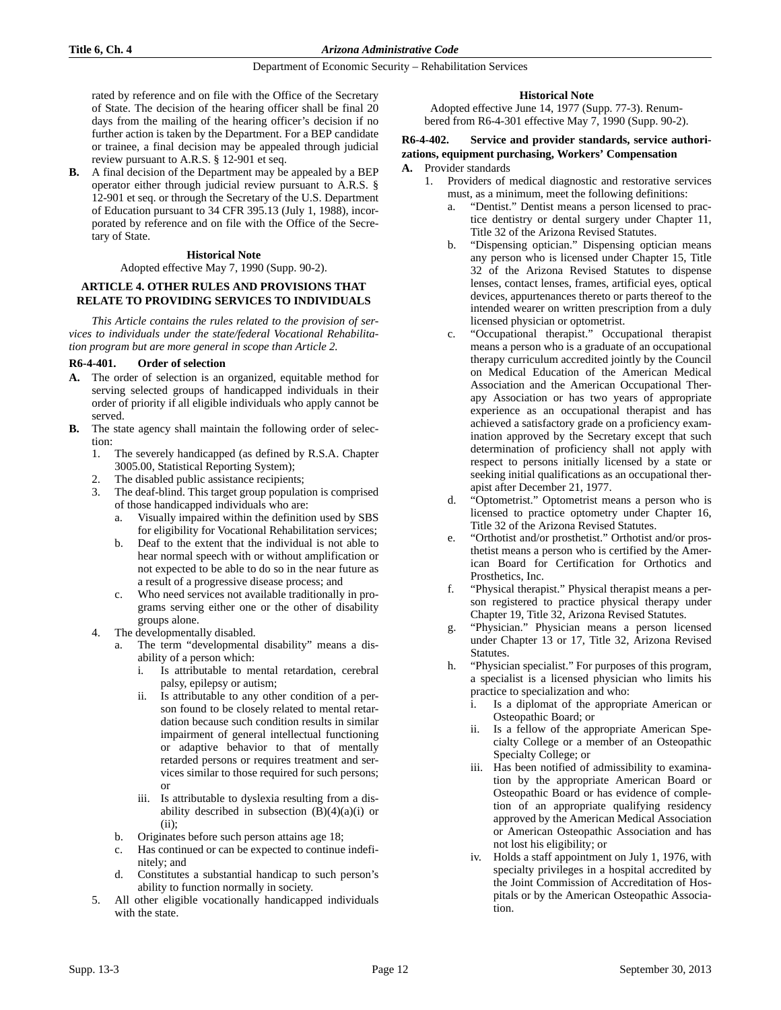rated by reference and on file with the Office of the Secretary of State. The decision of the hearing officer shall be final 20 days from the mailing of the hearing officer's decision if no further action is taken by the Department. For a BEP candidate or trainee, a final decision may be appealed through judicial review pursuant to A.R.S. § 12-901 et seq.

**B.** A final decision of the Department may be appealed by a BEP operator either through judicial review pursuant to A.R.S. § 12-901 et seq. or through the Secretary of the U.S. Department of Education pursuant to 34 CFR 395.13 (July 1, 1988), incorporated by reference and on file with the Office of the Secretary of State.

### **Historical Note**

### Adopted effective May 7, 1990 (Supp. 90-2).

# **ARTICLE 4. OTHER RULES AND PROVISIONS THAT RELATE TO PROVIDING SERVICES TO INDIVIDUALS**

*This Article contains the rules related to the provision of services to individuals under the state/federal Vocational Rehabilitation program but are more general in scope than Article 2.*

### **R6-4-401. Order of selection**

- **A.** The order of selection is an organized, equitable method for serving selected groups of handicapped individuals in their order of priority if all eligible individuals who apply cannot be served.
- **B.** The state agency shall maintain the following order of selection:
	- 1. The severely handicapped (as defined by R.S.A. Chapter 3005.00, Statistical Reporting System);
	- 2. The disabled public assistance recipients;
	- 3. The deaf-blind. This target group population is comprised of those handicapped individuals who are:
		- a. Visually impaired within the definition used by SBS for eligibility for Vocational Rehabilitation services;
		- b. Deaf to the extent that the individual is not able to hear normal speech with or without amplification or not expected to be able to do so in the near future as a result of a progressive disease process; and
		- c. Who need services not available traditionally in programs serving either one or the other of disability groups alone.
	- 4. The developmentally disabled.
		- a. The term "developmental disability" means a disability of a person which:
			- i. Is attributable to mental retardation, cerebral palsy, epilepsy or autism;
			- ii. Is attributable to any other condition of a person found to be closely related to mental retardation because such condition results in similar impairment of general intellectual functioning or adaptive behavior to that of mentally retarded persons or requires treatment and services similar to those required for such persons; or
			- iii. Is attributable to dyslexia resulting from a disability described in subsection  $(B)(4)(a)(i)$  or (ii);
		- b. Originates before such person attains age 18;
		- c. Has continued or can be expected to continue indefinitely; and
		- d. Constitutes a substantial handicap to such person's ability to function normally in society.
	- 5. All other eligible vocationally handicapped individuals with the state.

# **Historical Note**

Adopted effective June 14, 1977 (Supp. 77-3). Renumbered from R6-4-301 effective May 7, 1990 (Supp. 90-2).

# **R6-4-402. Service and provider standards, service authorizations, equipment purchasing, Workers' Compensation**

### **A.** Provider standards

- 1. Providers of medical diagnostic and restorative services must, as a minimum, meet the following definitions:
	- "Dentist." Dentist means a person licensed to practice dentistry or dental surgery under Chapter 11, Title 32 of the Arizona Revised Statutes.
	- b. "Dispensing optician." Dispensing optician means any person who is licensed under Chapter 15, Title 32 of the Arizona Revised Statutes to dispense lenses, contact lenses, frames, artificial eyes, optical devices, appurtenances thereto or parts thereof to the intended wearer on written prescription from a duly licensed physician or optometrist.
	- c. "Occupational therapist." Occupational therapist means a person who is a graduate of an occupational therapy curriculum accredited jointly by the Council on Medical Education of the American Medical Association and the American Occupational Therapy Association or has two years of appropriate experience as an occupational therapist and has achieved a satisfactory grade on a proficiency examination approved by the Secretary except that such determination of proficiency shall not apply with respect to persons initially licensed by a state or seeking initial qualifications as an occupational therapist after December 21, 1977.
	- d. "Optometrist." Optometrist means a person who is licensed to practice optometry under Chapter 16, Title 32 of the Arizona Revised Statutes.
	- e. "Orthotist and/or prosthetist." Orthotist and/or prosthetist means a person who is certified by the American Board for Certification for Orthotics and Prosthetics, Inc.
	- f. "Physical therapist." Physical therapist means a person registered to practice physical therapy under Chapter 19, Title 32, Arizona Revised Statutes.
	- g. "Physician." Physician means a person licensed under Chapter 13 or 17, Title 32, Arizona Revised Statutes.
	- h. "Physician specialist." For purposes of this program, a specialist is a licensed physician who limits his practice to specialization and who:
		- i. Is a diplomat of the appropriate American or Osteopathic Board; or
		- ii. Is a fellow of the appropriate American Specialty College or a member of an Osteopathic Specialty College; or
		- iii. Has been notified of admissibility to examination by the appropriate American Board or Osteopathic Board or has evidence of completion of an appropriate qualifying residency approved by the American Medical Association or American Osteopathic Association and has not lost his eligibility; or
		- iv. Holds a staff appointment on July 1, 1976, with specialty privileges in a hospital accredited by the Joint Commission of Accreditation of Hospitals or by the American Osteopathic Association.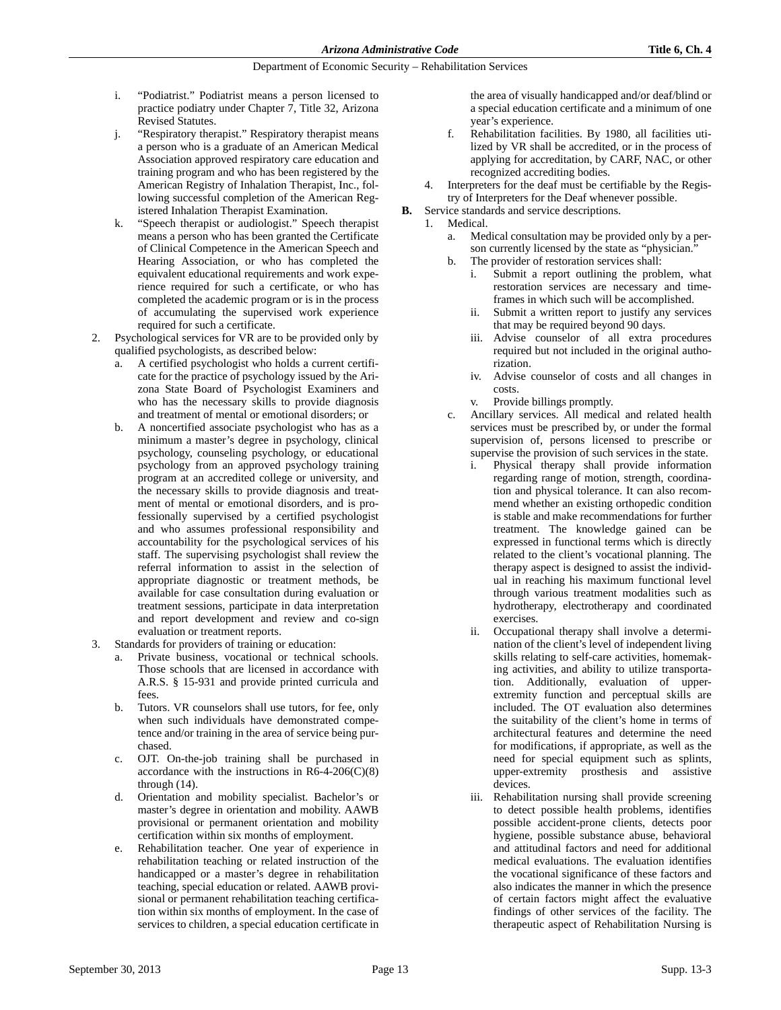- i. "Podiatrist." Podiatrist means a person licensed to practice podiatry under Chapter 7, Title 32, Arizona Revised Statutes.
- j. "Respiratory therapist." Respiratory therapist means a person who is a graduate of an American Medical Association approved respiratory care education and training program and who has been registered by the American Registry of Inhalation Therapist, Inc., following successful completion of the American Registered Inhalation Therapist Examination.
- k. "Speech therapist or audiologist." Speech therapist means a person who has been granted the Certificate of Clinical Competence in the American Speech and Hearing Association, or who has completed the equivalent educational requirements and work experience required for such a certificate, or who has completed the academic program or is in the process of accumulating the supervised work experience required for such a certificate.
- 2. Psychological services for VR are to be provided only by qualified psychologists, as described below:
	- a. A certified psychologist who holds a current certificate for the practice of psychology issued by the Arizona State Board of Psychologist Examiners and who has the necessary skills to provide diagnosis and treatment of mental or emotional disorders; or
	- b. A noncertified associate psychologist who has as a minimum a master's degree in psychology, clinical psychology, counseling psychology, or educational psychology from an approved psychology training program at an accredited college or university, and the necessary skills to provide diagnosis and treatment of mental or emotional disorders, and is professionally supervised by a certified psychologist and who assumes professional responsibility and accountability for the psychological services of his staff. The supervising psychologist shall review the referral information to assist in the selection of appropriate diagnostic or treatment methods, be available for case consultation during evaluation or treatment sessions, participate in data interpretation and report development and review and co-sign evaluation or treatment reports.
- 3. Standards for providers of training or education:
	- Private business, vocational or technical schools. Those schools that are licensed in accordance with A.R.S. § 15-931 and provide printed curricula and fees.
	- b. Tutors. VR counselors shall use tutors, for fee, only when such individuals have demonstrated competence and/or training in the area of service being purchased.
	- c. OJT. On-the-job training shall be purchased in accordance with the instructions in  $R6-4-206(C)(8)$ through (14).
	- d. Orientation and mobility specialist. Bachelor's or master's degree in orientation and mobility. AAWB provisional or permanent orientation and mobility certification within six months of employment.
	- e. Rehabilitation teacher. One year of experience in rehabilitation teaching or related instruction of the handicapped or a master's degree in rehabilitation teaching, special education or related. AAWB provisional or permanent rehabilitation teaching certification within six months of employment. In the case of services to children, a special education certificate in

the area of visually handicapped and/or deaf/blind or a special education certificate and a minimum of one year's experience.

- f. Rehabilitation facilities. By 1980, all facilities utilized by VR shall be accredited, or in the process of applying for accreditation, by CARF, NAC, or other recognized accrediting bodies.
- 4. Interpreters for the deaf must be certifiable by the Registry of Interpreters for the Deaf whenever possible.
- **B.** Service standards and service descriptions.
	- 1. Medical.
		- a. Medical consultation may be provided only by a person currently licensed by the state as "physician."
		- b. The provider of restoration services shall:
			- i. Submit a report outlining the problem, what restoration services are necessary and timeframes in which such will be accomplished.
			- Submit a written report to justify any services that may be required beyond 90 days.
			- iii. Advise counselor of all extra procedures required but not included in the original authorization.
			- iv. Advise counselor of costs and all changes in costs.
			- v. Provide billings promptly.
		- c. Ancillary services. All medical and related health services must be prescribed by, or under the formal supervision of, persons licensed to prescribe or supervise the provision of such services in the state.
			- i. Physical therapy shall provide information regarding range of motion, strength, coordination and physical tolerance. It can also recommend whether an existing orthopedic condition is stable and make recommendations for further treatment. The knowledge gained can be expressed in functional terms which is directly related to the client's vocational planning. The therapy aspect is designed to assist the individual in reaching his maximum functional level through various treatment modalities such as hydrotherapy, electrotherapy and coordinated exercises.
			- ii. Occupational therapy shall involve a determination of the client's level of independent living skills relating to self-care activities, homemaking activities, and ability to utilize transportation. Additionally, evaluation of upperextremity function and perceptual skills are included. The OT evaluation also determines the suitability of the client's home in terms of architectural features and determine the need for modifications, if appropriate, as well as the need for special equipment such as splints, upper-extremity prosthesis and assistive devices.
			- iii. Rehabilitation nursing shall provide screening to detect possible health problems, identifies possible accident-prone clients, detects poor hygiene, possible substance abuse, behavioral and attitudinal factors and need for additional medical evaluations. The evaluation identifies the vocational significance of these factors and also indicates the manner in which the presence of certain factors might affect the evaluative findings of other services of the facility. The therapeutic aspect of Rehabilitation Nursing is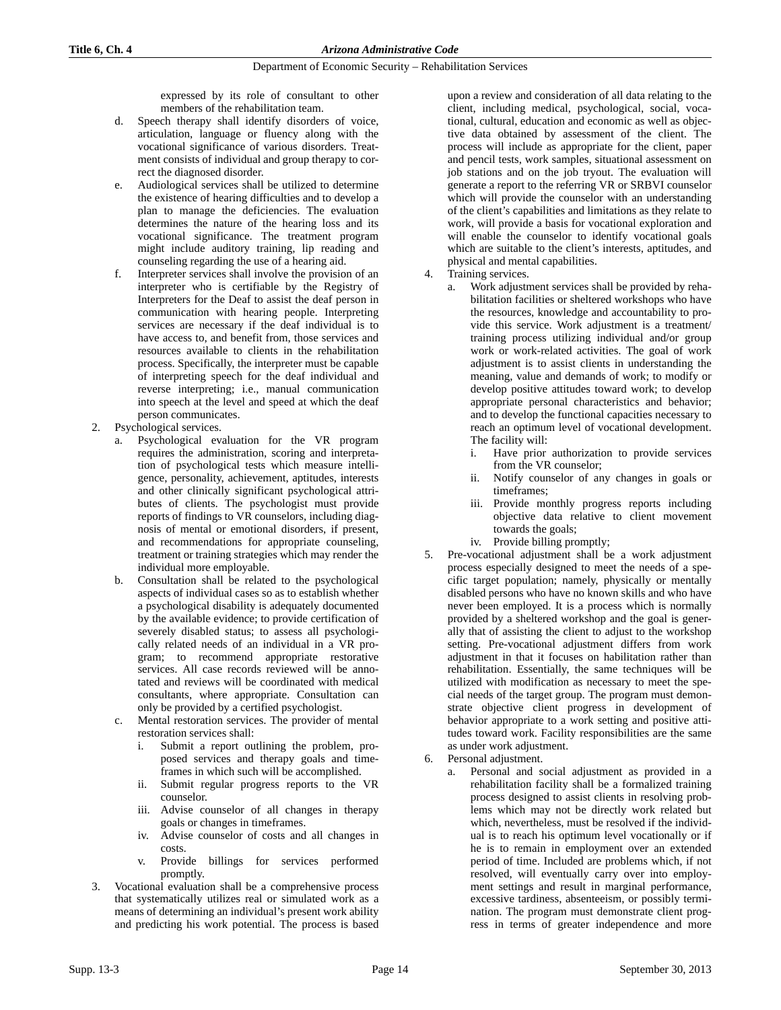expressed by its role of consultant to other members of the rehabilitation team.

- d. Speech therapy shall identify disorders of voice, articulation, language or fluency along with the vocational significance of various disorders. Treatment consists of individual and group therapy to correct the diagnosed disorder.
- e. Audiological services shall be utilized to determine the existence of hearing difficulties and to develop a plan to manage the deficiencies. The evaluation determines the nature of the hearing loss and its vocational significance. The treatment program might include auditory training, lip reading and counseling regarding the use of a hearing aid.
- f. Interpreter services shall involve the provision of an interpreter who is certifiable by the Registry of Interpreters for the Deaf to assist the deaf person in communication with hearing people. Interpreting services are necessary if the deaf individual is to have access to, and benefit from, those services and resources available to clients in the rehabilitation process. Specifically, the interpreter must be capable of interpreting speech for the deaf individual and reverse interpreting; i.e., manual communication into speech at the level and speed at which the deaf person communicates.
- 2. Psychological services.
	- a. Psychological evaluation for the VR program requires the administration, scoring and interpretation of psychological tests which measure intelligence, personality, achievement, aptitudes, interests and other clinically significant psychological attributes of clients. The psychologist must provide reports of findings to VR counselors, including diagnosis of mental or emotional disorders, if present, and recommendations for appropriate counseling, treatment or training strategies which may render the individual more employable.
	- b. Consultation shall be related to the psychological aspects of individual cases so as to establish whether a psychological disability is adequately documented by the available evidence; to provide certification of severely disabled status; to assess all psychologically related needs of an individual in a VR program; to recommend appropriate restorative services. All case records reviewed will be annotated and reviews will be coordinated with medical consultants, where appropriate. Consultation can only be provided by a certified psychologist.
	- c. Mental restoration services. The provider of mental restoration services shall:
		- Submit a report outlining the problem, proposed services and therapy goals and timeframes in which such will be accomplished.
		- ii. Submit regular progress reports to the VR counselor.
		- iii. Advise counselor of all changes in therapy goals or changes in timeframes.
		- iv. Advise counselor of costs and all changes in costs.
		- v. Provide billings for services performed promptly.
- 3. Vocational evaluation shall be a comprehensive process that systematically utilizes real or simulated work as a means of determining an individual's present work ability and predicting his work potential. The process is based

upon a review and consideration of all data relating to the client, including medical, psychological, social, vocational, cultural, education and economic as well as objective data obtained by assessment of the client. The process will include as appropriate for the client, paper and pencil tests, work samples, situational assessment on job stations and on the job tryout. The evaluation will generate a report to the referring VR or SRBVI counselor which will provide the counselor with an understanding of the client's capabilities and limitations as they relate to work, will provide a basis for vocational exploration and will enable the counselor to identify vocational goals which are suitable to the client's interests, aptitudes, and physical and mental capabilities.

- Training services.
	- a. Work adjustment services shall be provided by rehabilitation facilities or sheltered workshops who have the resources, knowledge and accountability to provide this service. Work adjustment is a treatment/ training process utilizing individual and/or group work or work-related activities. The goal of work adjustment is to assist clients in understanding the meaning, value and demands of work; to modify or develop positive attitudes toward work; to develop appropriate personal characteristics and behavior; and to develop the functional capacities necessary to reach an optimum level of vocational development. The facility will:
		- i. Have prior authorization to provide services from the VR counselor;
		- ii. Notify counselor of any changes in goals or timeframes;
		- iii. Provide monthly progress reports including objective data relative to client movement towards the goals;
		- iv. Provide billing promptly;
- 5. Pre-vocational adjustment shall be a work adjustment process especially designed to meet the needs of a specific target population; namely, physically or mentally disabled persons who have no known skills and who have never been employed. It is a process which is normally provided by a sheltered workshop and the goal is generally that of assisting the client to adjust to the workshop setting. Pre-vocational adjustment differs from work adjustment in that it focuses on habilitation rather than rehabilitation. Essentially, the same techniques will be utilized with modification as necessary to meet the special needs of the target group. The program must demonstrate objective client progress in development of behavior appropriate to a work setting and positive attitudes toward work. Facility responsibilities are the same as under work adjustment.
- 6. Personal adjustment.
	- a. Personal and social adjustment as provided in a rehabilitation facility shall be a formalized training process designed to assist clients in resolving problems which may not be directly work related but which, nevertheless, must be resolved if the individual is to reach his optimum level vocationally or if he is to remain in employment over an extended period of time. Included are problems which, if not resolved, will eventually carry over into employment settings and result in marginal performance, excessive tardiness, absenteeism, or possibly termination. The program must demonstrate client progress in terms of greater independence and more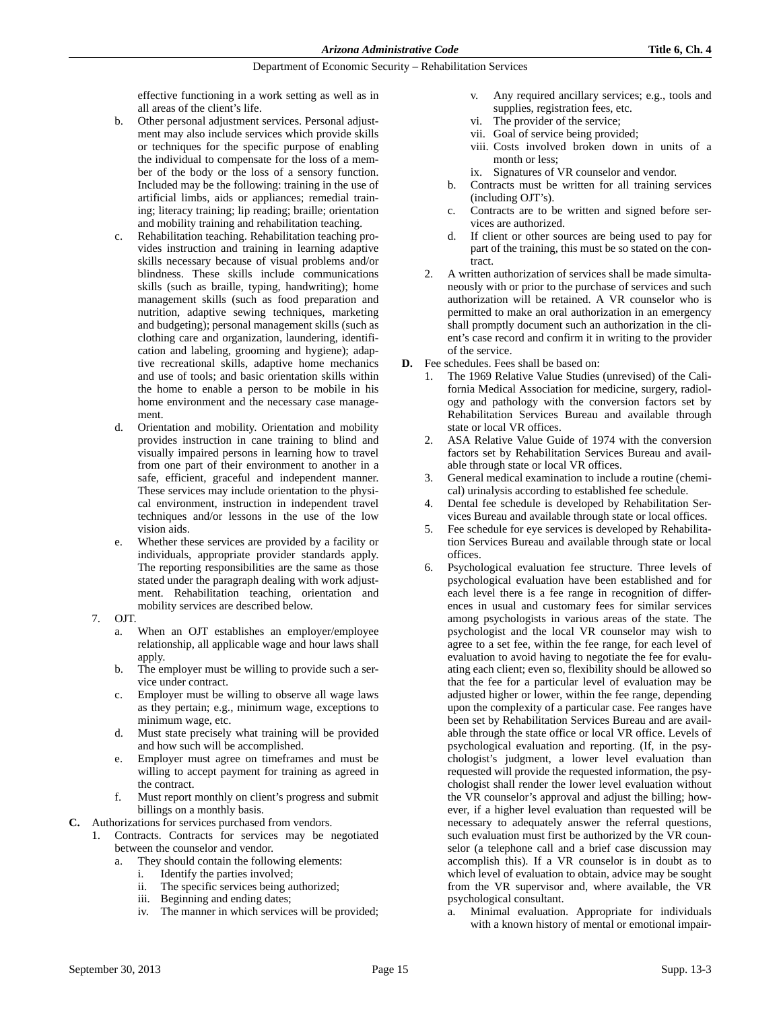effective functioning in a work setting as well as in all areas of the client's life.

- b. Other personal adjustment services. Personal adjustment may also include services which provide skills or techniques for the specific purpose of enabling the individual to compensate for the loss of a member of the body or the loss of a sensory function. Included may be the following: training in the use of artificial limbs, aids or appliances; remedial training; literacy training; lip reading; braille; orientation and mobility training and rehabilitation teaching.
- c. Rehabilitation teaching. Rehabilitation teaching provides instruction and training in learning adaptive skills necessary because of visual problems and/or blindness. These skills include communications skills (such as braille, typing, handwriting); home management skills (such as food preparation and nutrition, adaptive sewing techniques, marketing and budgeting); personal management skills (such as clothing care and organization, laundering, identification and labeling, grooming and hygiene); adaptive recreational skills, adaptive home mechanics and use of tools; and basic orientation skills within the home to enable a person to be mobile in his home environment and the necessary case management.
- d. Orientation and mobility. Orientation and mobility provides instruction in cane training to blind and visually impaired persons in learning how to travel from one part of their environment to another in a safe, efficient, graceful and independent manner. These services may include orientation to the physical environment, instruction in independent travel techniques and/or lessons in the use of the low vision aids.
- e. Whether these services are provided by a facility or individuals, appropriate provider standards apply. The reporting responsibilities are the same as those stated under the paragraph dealing with work adjustment. Rehabilitation teaching, orientation and mobility services are described below.
- 7. OJT.
	- When an OJT establishes an employer/employee relationship, all applicable wage and hour laws shall apply.
	- b. The employer must be willing to provide such a service under contract.
	- c. Employer must be willing to observe all wage laws as they pertain; e.g., minimum wage, exceptions to minimum wage, etc.
	- d. Must state precisely what training will be provided and how such will be accomplished.
	- e. Employer must agree on timeframes and must be willing to accept payment for training as agreed in the contract.
	- f. Must report monthly on client's progress and submit billings on a monthly basis.
- **C.** Authorizations for services purchased from vendors.
	- 1. Contracts. Contracts for services may be negotiated between the counselor and vendor.
		- a. They should contain the following elements:
			- i. Identify the parties involved;<br>ii. The specific services being a
			- The specific services being authorized;
			- iii. Beginning and ending dates;
			- iv. The manner in which services will be provided;
- v. Any required ancillary services; e.g., tools and supplies, registration fees, etc.
- vi. The provider of the service;
- vii. Goal of service being provided;
- viii. Costs involved broken down in units of a month or less;
- ix. Signatures of VR counselor and vendor.
- b. Contracts must be written for all training services (including OJT's).
- c. Contracts are to be written and signed before services are authorized.
- d. If client or other sources are being used to pay for part of the training, this must be so stated on the contract.
- 2. A written authorization of services shall be made simultaneously with or prior to the purchase of services and such authorization will be retained. A VR counselor who is permitted to make an oral authorization in an emergency shall promptly document such an authorization in the client's case record and confirm it in writing to the provider of the service.
- **D.** Fee schedules. Fees shall be based on:
	- 1. The 1969 Relative Value Studies (unrevised) of the California Medical Association for medicine, surgery, radiology and pathology with the conversion factors set by Rehabilitation Services Bureau and available through state or local VR offices.
	- 2. ASA Relative Value Guide of 1974 with the conversion factors set by Rehabilitation Services Bureau and available through state or local VR offices.
	- 3. General medical examination to include a routine (chemical) urinalysis according to established fee schedule.
	- Dental fee schedule is developed by Rehabilitation Services Bureau and available through state or local offices.
	- 5. Fee schedule for eye services is developed by Rehabilitation Services Bureau and available through state or local offices.
	- 6. Psychological evaluation fee structure. Three levels of psychological evaluation have been established and for each level there is a fee range in recognition of differences in usual and customary fees for similar services among psychologists in various areas of the state. The psychologist and the local VR counselor may wish to agree to a set fee, within the fee range, for each level of evaluation to avoid having to negotiate the fee for evaluating each client; even so, flexibility should be allowed so that the fee for a particular level of evaluation may be adjusted higher or lower, within the fee range, depending upon the complexity of a particular case. Fee ranges have been set by Rehabilitation Services Bureau and are available through the state office or local VR office. Levels of psychological evaluation and reporting. (If, in the psychologist's judgment, a lower level evaluation than requested will provide the requested information, the psychologist shall render the lower level evaluation without the VR counselor's approval and adjust the billing; however, if a higher level evaluation than requested will be necessary to adequately answer the referral questions, such evaluation must first be authorized by the VR counselor (a telephone call and a brief case discussion may accomplish this). If a VR counselor is in doubt as to which level of evaluation to obtain, advice may be sought from the VR supervisor and, where available, the VR psychological consultant.
		- Minimal evaluation. Appropriate for individuals with a known history of mental or emotional impair-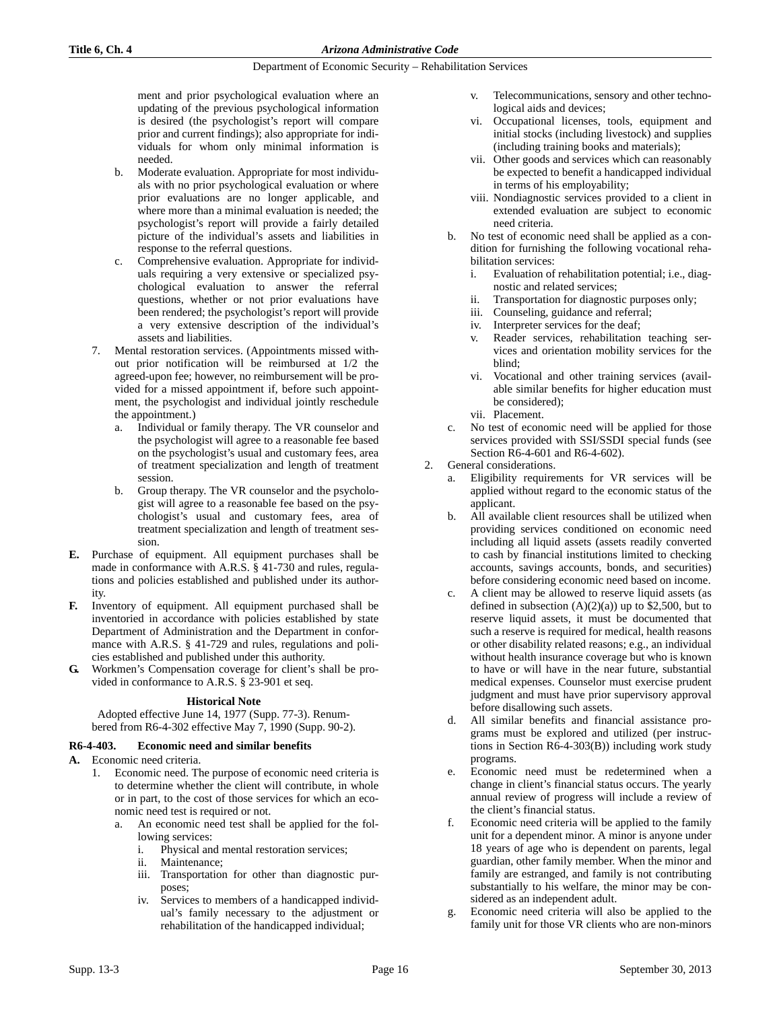ment and prior psychological evaluation where an updating of the previous psychological information is desired (the psychologist's report will compare prior and current findings); also appropriate for individuals for whom only minimal information is needed.

- b. Moderate evaluation. Appropriate for most individuals with no prior psychological evaluation or where prior evaluations are no longer applicable, and where more than a minimal evaluation is needed; the psychologist's report will provide a fairly detailed picture of the individual's assets and liabilities in response to the referral questions.
- c. Comprehensive evaluation. Appropriate for individuals requiring a very extensive or specialized psychological evaluation to answer the referral questions, whether or not prior evaluations have been rendered; the psychologist's report will provide a very extensive description of the individual's assets and liabilities.
- 7. Mental restoration services. (Appointments missed without prior notification will be reimbursed at 1/2 the agreed-upon fee; however, no reimbursement will be provided for a missed appointment if, before such appointment, the psychologist and individual jointly reschedule the appointment.)
	- a. Individual or family therapy. The VR counselor and the psychologist will agree to a reasonable fee based on the psychologist's usual and customary fees, area of treatment specialization and length of treatment session.
	- b. Group therapy. The VR counselor and the psychologist will agree to a reasonable fee based on the psychologist's usual and customary fees, area of treatment specialization and length of treatment session.
- **E.** Purchase of equipment. All equipment purchases shall be made in conformance with A.R.S. § 41-730 and rules, regulations and policies established and published under its authority.
- **F.** Inventory of equipment. All equipment purchased shall be inventoried in accordance with policies established by state Department of Administration and the Department in conformance with A.R.S. § 41-729 and rules, regulations and policies established and published under this authority.
- **G.** Workmen's Compensation coverage for client's shall be provided in conformance to A.R.S. § 23-901 et seq.

### **Historical Note**

Adopted effective June 14, 1977 (Supp. 77-3). Renumbered from R6-4-302 effective May 7, 1990 (Supp. 90-2).

### **R6-4-403. Economic need and similar benefits**

- **A.** Economic need criteria.
	- 1. Economic need. The purpose of economic need criteria is to determine whether the client will contribute, in whole or in part, to the cost of those services for which an economic need test is required or not.
		- a. An economic need test shall be applied for the following services:
			- i. Physical and mental restoration services;
			- ii. Maintenance;
			- iii. Transportation for other than diagnostic purposes;
			- iv. Services to members of a handicapped individual's family necessary to the adjustment or rehabilitation of the handicapped individual;
- v. Telecommunications, sensory and other technological aids and devices;
- vi. Occupational licenses, tools, equipment and initial stocks (including livestock) and supplies (including training books and materials);
- vii. Other goods and services which can reasonably be expected to benefit a handicapped individual in terms of his employability;
- viii. Nondiagnostic services provided to a client in extended evaluation are subject to economic need criteria.
- b. No test of economic need shall be applied as a condition for furnishing the following vocational rehabilitation services:
	- i. Evaluation of rehabilitation potential; i.e., diagnostic and related services;
	- ii. Transportation for diagnostic purposes only;
	- iii. Counseling, guidance and referral;
	- iv. Interpreter services for the deaf;
	- v. Reader services, rehabilitation teaching services and orientation mobility services for the blind;
	- vi. Vocational and other training services (available similar benefits for higher education must be considered);
	- vii. Placement.
- c. No test of economic need will be applied for those services provided with SSI/SSDI special funds (see Section R6-4-601 and R6-4-602).
- 2. General considerations.
	- Eligibility requirements for VR services will be applied without regard to the economic status of the applicant.
	- b. All available client resources shall be utilized when providing services conditioned on economic need including all liquid assets (assets readily converted to cash by financial institutions limited to checking accounts, savings accounts, bonds, and securities) before considering economic need based on income.
	- c. A client may be allowed to reserve liquid assets (as defined in subsection  $(A)(2)(a)$  up to \$2,500, but to reserve liquid assets, it must be documented that such a reserve is required for medical, health reasons or other disability related reasons; e.g., an individual without health insurance coverage but who is known to have or will have in the near future, substantial medical expenses. Counselor must exercise prudent judgment and must have prior supervisory approval before disallowing such assets.
	- d. All similar benefits and financial assistance programs must be explored and utilized (per instructions in Section R6-4-303(B)) including work study programs.
	- e. Economic need must be redetermined when a change in client's financial status occurs. The yearly annual review of progress will include a review of the client's financial status.
	- f. Economic need criteria will be applied to the family unit for a dependent minor. A minor is anyone under 18 years of age who is dependent on parents, legal guardian, other family member. When the minor and family are estranged, and family is not contributing substantially to his welfare, the minor may be considered as an independent adult.
	- g. Economic need criteria will also be applied to the family unit for those VR clients who are non-minors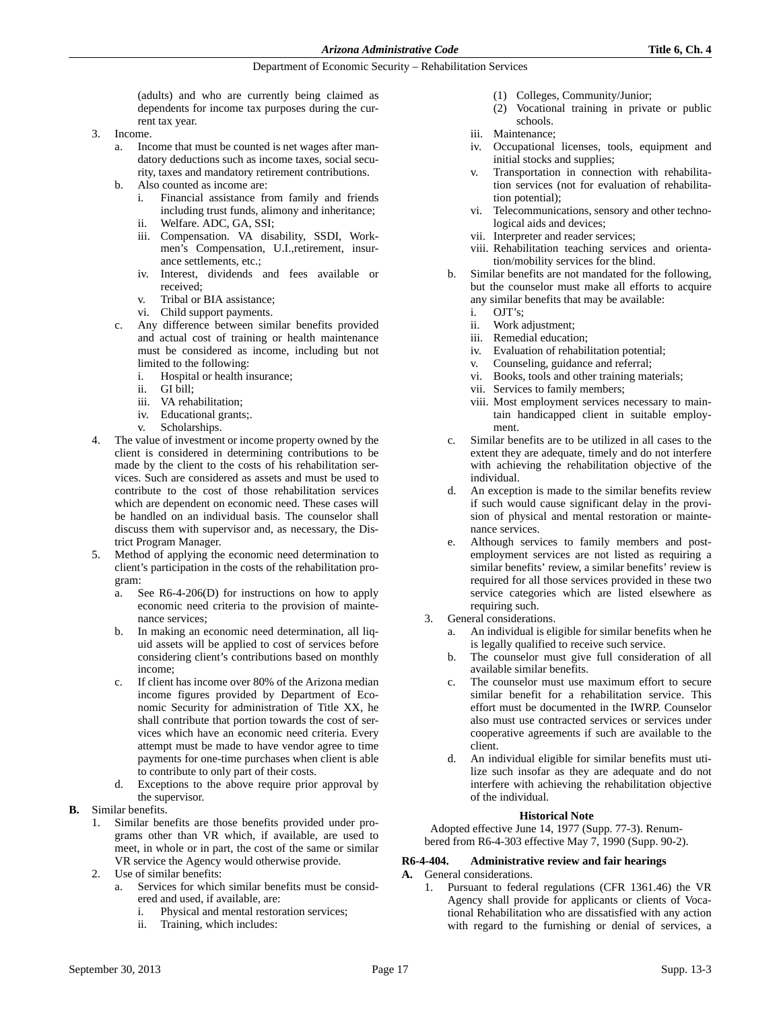(adults) and who are currently being claimed as dependents for income tax purposes during the current tax year.

- 3. Income.
	- a. Income that must be counted is net wages after mandatory deductions such as income taxes, social security, taxes and mandatory retirement contributions.
	- b. Also counted as income are:
		- i. Financial assistance from family and friends including trust funds, alimony and inheritance; ii. Welfare. ADC, GA, SSI;
		- iii. Compensation. VA disability, SSDI, Workmen's Compensation, U.I.,retirement, insur-
		- ance settlements, etc.; iv. Interest, dividends and fees available or received;
		- v. Tribal or BIA assistance;
		- vi. Child support payments.
	- c. Any difference between similar benefits provided and actual cost of training or health maintenance must be considered as income, including but not limited to the following:
		- i. Hospital or health insurance;
		- ii. GI bill;
		- iii. VA rehabilitation;
		- iv. Educational grants;.
		- v. Scholarships.
- The value of investment or income property owned by the client is considered in determining contributions to be made by the client to the costs of his rehabilitation services. Such are considered as assets and must be used to contribute to the cost of those rehabilitation services which are dependent on economic need. These cases will be handled on an individual basis. The counselor shall discuss them with supervisor and, as necessary, the District Program Manager.
- 5. Method of applying the economic need determination to client's participation in the costs of the rehabilitation program:
	- a. See R6-4-206(D) for instructions on how to apply economic need criteria to the provision of maintenance services;
	- b. In making an economic need determination, all liquid assets will be applied to cost of services before considering client's contributions based on monthly income;
	- c. If client has income over 80% of the Arizona median income figures provided by Department of Economic Security for administration of Title XX, he shall contribute that portion towards the cost of services which have an economic need criteria. Every attempt must be made to have vendor agree to time payments for one-time purchases when client is able to contribute to only part of their costs.
	- d. Exceptions to the above require prior approval by the supervisor.
- **B.** Similar benefits.
	- 1. Similar benefits are those benefits provided under programs other than VR which, if available, are used to meet, in whole or in part, the cost of the same or similar VR service the Agency would otherwise provide.
	- 2. Use of similar benefits:
		- a. Services for which similar benefits must be considered and used, if available, are:
			- i. Physical and mental restoration services;
			- ii. Training, which includes:
- (1) Colleges, Community/Junior;
- (2) Vocational training in private or public schools.
- iii. Maintenance;
- iv. Occupational licenses, tools, equipment and initial stocks and supplies;
- v. Transportation in connection with rehabilitation services (not for evaluation of rehabilitation potential);
- vi. Telecommunications, sensory and other technological aids and devices;
- vii. Interpreter and reader services;
- viii. Rehabilitation teaching services and orientation/mobility services for the blind.
- b. Similar benefits are not mandated for the following, but the counselor must make all efforts to acquire any similar benefits that may be available:
	- i. OJT's;
	- ii. Work adjustment;
	- iii. Remedial education;
	- iv. Evaluation of rehabilitation potential;
	-
	- v. Counseling, guidance and referral;<br>vi. Books, tools and other training mat Books, tools and other training materials;
	- vii. Services to family members;
	- viii. Most employment services necessary to maintain handicapped client in suitable employment.
- c. Similar benefits are to be utilized in all cases to the extent they are adequate, timely and do not interfere with achieving the rehabilitation objective of the individual.
- d. An exception is made to the similar benefits review if such would cause significant delay in the provision of physical and mental restoration or maintenance services.
- e. Although services to family members and postemployment services are not listed as requiring a similar benefits' review, a similar benefits' review is required for all those services provided in these two service categories which are listed elsewhere as requiring such.
- 3. General considerations.
	- a. An individual is eligible for similar benefits when he is legally qualified to receive such service.
	- b. The counselor must give full consideration of all available similar benefits.
	- c. The counselor must use maximum effort to secure similar benefit for a rehabilitation service. This effort must be documented in the IWRP. Counselor also must use contracted services or services under cooperative agreements if such are available to the client.
	- d. An individual eligible for similar benefits must utilize such insofar as they are adequate and do not interfere with achieving the rehabilitation objective of the individual.

### **Historical Note**

Adopted effective June 14, 1977 (Supp. 77-3). Renumbered from R6-4-303 effective May 7, 1990 (Supp. 90-2).

### **R6-4-404. Administrative review and fair hearings**

- **A.** General considerations.
	- 1. Pursuant to federal regulations (CFR 1361.46) the VR Agency shall provide for applicants or clients of Vocational Rehabilitation who are dissatisfied with any action with regard to the furnishing or denial of services, a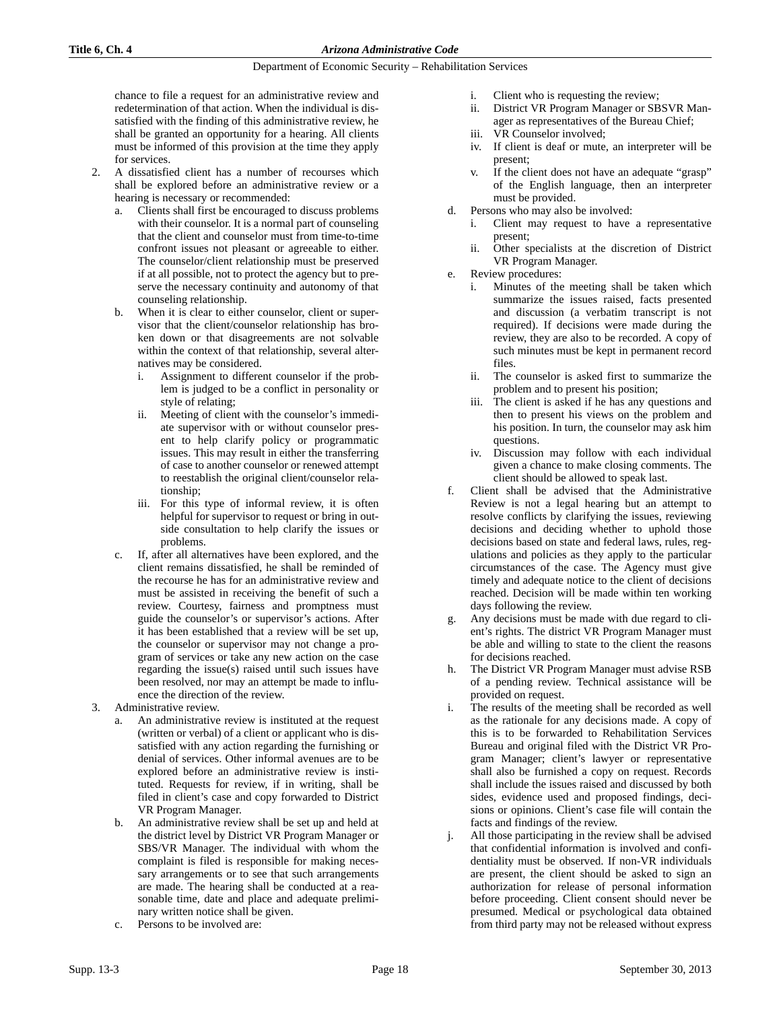chance to file a request for an administrative review and redetermination of that action. When the individual is dissatisfied with the finding of this administrative review, he shall be granted an opportunity for a hearing. All clients must be informed of this provision at the time they apply for services.

- 2. A dissatisfied client has a number of recourses which shall be explored before an administrative review or a hearing is necessary or recommended:
	- Clients shall first be encouraged to discuss problems with their counselor. It is a normal part of counseling that the client and counselor must from time-to-time confront issues not pleasant or agreeable to either. The counselor/client relationship must be preserved if at all possible, not to protect the agency but to preserve the necessary continuity and autonomy of that counseling relationship.
	- b. When it is clear to either counselor, client or supervisor that the client/counselor relationship has broken down or that disagreements are not solvable within the context of that relationship, several alternatives may be considered.
		- i. Assignment to different counselor if the problem is judged to be a conflict in personality or style of relating;
		- ii. Meeting of client with the counselor's immediate supervisor with or without counselor present to help clarify policy or programmatic issues. This may result in either the transferring of case to another counselor or renewed attempt to reestablish the original client/counselor relationship;
		- iii. For this type of informal review, it is often helpful for supervisor to request or bring in outside consultation to help clarify the issues or problems.
	- c. If, after all alternatives have been explored, and the client remains dissatisfied, he shall be reminded of the recourse he has for an administrative review and must be assisted in receiving the benefit of such a review. Courtesy, fairness and promptness must guide the counselor's or supervisor's actions. After it has been established that a review will be set up, the counselor or supervisor may not change a program of services or take any new action on the case regarding the issue(s) raised until such issues have been resolved, nor may an attempt be made to influence the direction of the review.
- 3. Administrative review.
	- An administrative review is instituted at the request (written or verbal) of a client or applicant who is dissatisfied with any action regarding the furnishing or denial of services. Other informal avenues are to be explored before an administrative review is instituted. Requests for review, if in writing, shall be filed in client's case and copy forwarded to District VR Program Manager.
	- b. An administrative review shall be set up and held at the district level by District VR Program Manager or SBS/VR Manager. The individual with whom the complaint is filed is responsible for making necessary arrangements or to see that such arrangements are made. The hearing shall be conducted at a reasonable time, date and place and adequate preliminary written notice shall be given.
	- c. Persons to be involved are:
- i. Client who is requesting the review;
- ii. District VR Program Manager or SBSVR Manager as representatives of the Bureau Chief;
- iii. VR Counselor involved;
- iv. If client is deaf or mute, an interpreter will be present;
- v. If the client does not have an adequate "grasp" of the English language, then an interpreter must be provided.
- d. Persons who may also be involved:
	- i. Client may request to have a representative present;
	- ii. Other specialists at the discretion of District VR Program Manager.
- e. Review procedures:
	- i. Minutes of the meeting shall be taken which summarize the issues raised, facts presented and discussion (a verbatim transcript is not required). If decisions were made during the review, they are also to be recorded. A copy of such minutes must be kept in permanent record files.
	- ii. The counselor is asked first to summarize the problem and to present his position;
	- iii. The client is asked if he has any questions and then to present his views on the problem and his position. In turn, the counselor may ask him questions.
	- iv. Discussion may follow with each individual given a chance to make closing comments. The client should be allowed to speak last.
- f. Client shall be advised that the Administrative Review is not a legal hearing but an attempt to resolve conflicts by clarifying the issues, reviewing decisions and deciding whether to uphold those decisions based on state and federal laws, rules, regulations and policies as they apply to the particular circumstances of the case. The Agency must give timely and adequate notice to the client of decisions reached. Decision will be made within ten working days following the review.
- g. Any decisions must be made with due regard to client's rights. The district VR Program Manager must be able and willing to state to the client the reasons for decisions reached.
- The District VR Program Manager must advise RSB of a pending review. Technical assistance will be provided on request.
- i. The results of the meeting shall be recorded as well as the rationale for any decisions made. A copy of this is to be forwarded to Rehabilitation Services Bureau and original filed with the District VR Program Manager; client's lawyer or representative shall also be furnished a copy on request. Records shall include the issues raised and discussed by both sides, evidence used and proposed findings, decisions or opinions. Client's case file will contain the facts and findings of the review.
- j. All those participating in the review shall be advised that confidential information is involved and confidentiality must be observed. If non-VR individuals are present, the client should be asked to sign an authorization for release of personal information before proceeding. Client consent should never be presumed. Medical or psychological data obtained from third party may not be released without express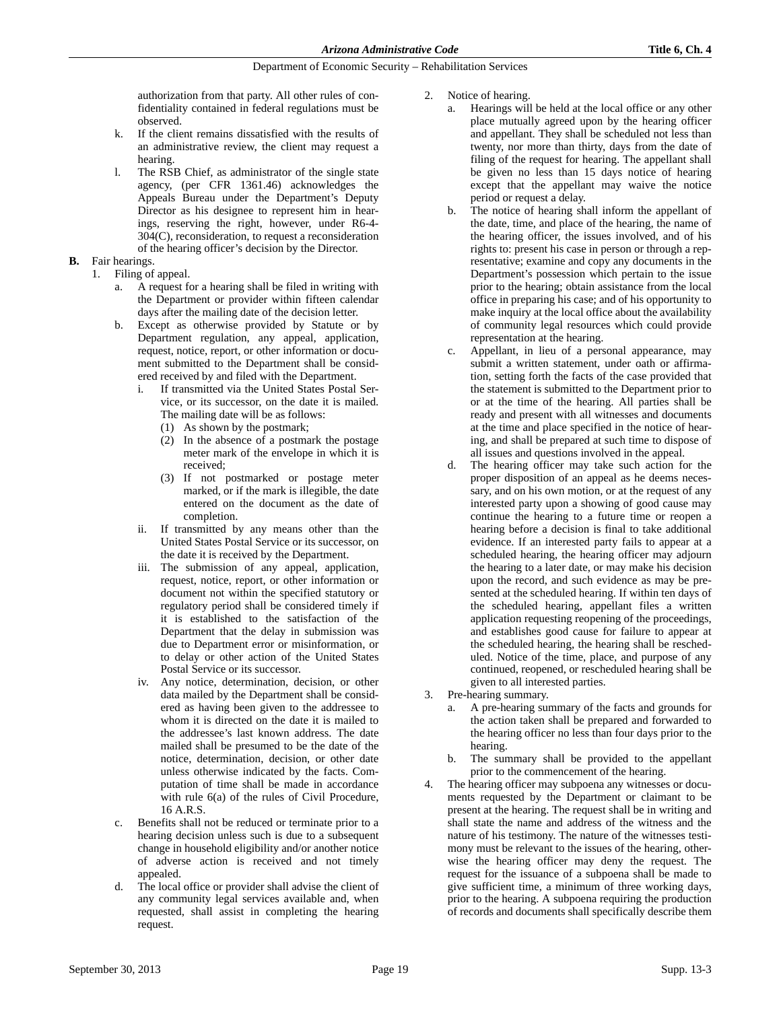authorization from that party. All other rules of confidentiality contained in federal regulations must be observed.

- k. If the client remains dissatisfied with the results of an administrative review, the client may request a hearing.
- l. The RSB Chief, as administrator of the single state agency, (per CFR 1361.46) acknowledges the Appeals Bureau under the Department's Deputy Director as his designee to represent him in hearings, reserving the right, however, under R6-4- 304(C), reconsideration, to request a reconsideration of the hearing officer's decision by the Director.
- **B.** Fair hearings.
	- 1. Filing of appeal.
		- a. A request for a hearing shall be filed in writing with the Department or provider within fifteen calendar days after the mailing date of the decision letter.
		- b. Except as otherwise provided by Statute or by Department regulation, any appeal, application, request, notice, report, or other information or document submitted to the Department shall be considered received by and filed with the Department.
			- If transmitted via the United States Postal Service, or its successor, on the date it is mailed. The mailing date will be as follows:
				- (1) As shown by the postmark;
				- (2) In the absence of a postmark the postage meter mark of the envelope in which it is received;
				- (3) If not postmarked or postage meter marked, or if the mark is illegible, the date entered on the document as the date of completion.
			- ii. If transmitted by any means other than the United States Postal Service or its successor, on the date it is received by the Department.
			- iii. The submission of any appeal, application, request, notice, report, or other information or document not within the specified statutory or regulatory period shall be considered timely if it is established to the satisfaction of the Department that the delay in submission was due to Department error or misinformation, or to delay or other action of the United States Postal Service or its successor.
			- iv. Any notice, determination, decision, or other data mailed by the Department shall be considered as having been given to the addressee to whom it is directed on the date it is mailed to the addressee's last known address. The date mailed shall be presumed to be the date of the notice, determination, decision, or other date unless otherwise indicated by the facts. Computation of time shall be made in accordance with rule 6(a) of the rules of Civil Procedure, 16 A.R.S.
		- c. Benefits shall not be reduced or terminate prior to a hearing decision unless such is due to a subsequent change in household eligibility and/or another notice of adverse action is received and not timely appealed.
		- d. The local office or provider shall advise the client of any community legal services available and, when requested, shall assist in completing the hearing request.
- 2. Notice of hearing.
	- a. Hearings will be held at the local office or any other place mutually agreed upon by the hearing officer and appellant. They shall be scheduled not less than twenty, nor more than thirty, days from the date of filing of the request for hearing. The appellant shall be given no less than 15 days notice of hearing except that the appellant may waive the notice period or request a delay.
	- b. The notice of hearing shall inform the appellant of the date, time, and place of the hearing, the name of the hearing officer, the issues involved, and of his rights to: present his case in person or through a representative; examine and copy any documents in the Department's possession which pertain to the issue prior to the hearing; obtain assistance from the local office in preparing his case; and of his opportunity to make inquiry at the local office about the availability of community legal resources which could provide representation at the hearing.
	- c. Appellant, in lieu of a personal appearance, may submit a written statement, under oath or affirmation, setting forth the facts of the case provided that the statement is submitted to the Department prior to or at the time of the hearing. All parties shall be ready and present with all witnesses and documents at the time and place specified in the notice of hearing, and shall be prepared at such time to dispose of all issues and questions involved in the appeal.
	- d. The hearing officer may take such action for the proper disposition of an appeal as he deems necessary, and on his own motion, or at the request of any interested party upon a showing of good cause may continue the hearing to a future time or reopen a hearing before a decision is final to take additional evidence. If an interested party fails to appear at a scheduled hearing, the hearing officer may adjourn the hearing to a later date, or may make his decision upon the record, and such evidence as may be presented at the scheduled hearing. If within ten days of the scheduled hearing, appellant files a written application requesting reopening of the proceedings, and establishes good cause for failure to appear at the scheduled hearing, the hearing shall be rescheduled. Notice of the time, place, and purpose of any continued, reopened, or rescheduled hearing shall be given to all interested parties.
- 3. Pre-hearing summary.
	- a. A pre-hearing summary of the facts and grounds for the action taken shall be prepared and forwarded to the hearing officer no less than four days prior to the hearing.
	- b. The summary shall be provided to the appellant prior to the commencement of the hearing.
- The hearing officer may subpoena any witnesses or documents requested by the Department or claimant to be present at the hearing. The request shall be in writing and shall state the name and address of the witness and the nature of his testimony. The nature of the witnesses testimony must be relevant to the issues of the hearing, otherwise the hearing officer may deny the request. The request for the issuance of a subpoena shall be made to give sufficient time, a minimum of three working days, prior to the hearing. A subpoena requiring the production of records and documents shall specifically describe them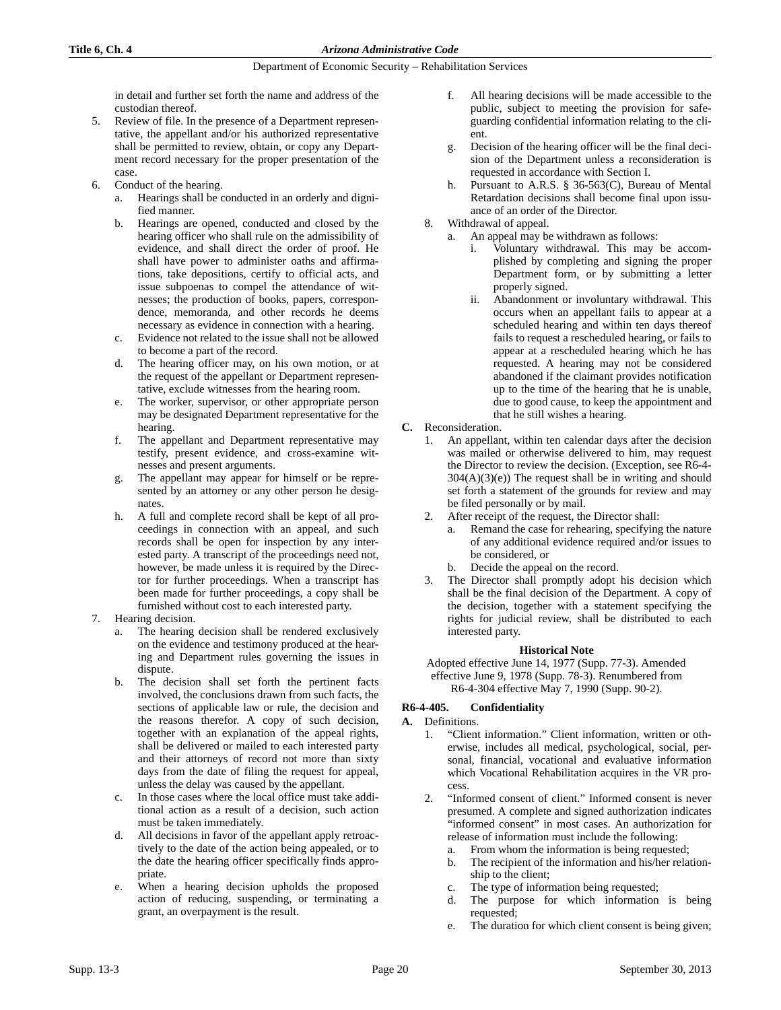in detail and further set forth the name and address of the custodian thereof.

- 5. Review of file. In the presence of a Department representative, the appellant and/or his authorized representative shall be permitted to review, obtain, or copy any Department record necessary for the proper presentation of the case.
- 6. Conduct of the hearing.
	- Hearings shall be conducted in an orderly and dignified manner.
	- b. Hearings are opened, conducted and closed by the hearing officer who shall rule on the admissibility of evidence, and shall direct the order of proof. He shall have power to administer oaths and affirmations, take depositions, certify to official acts, and issue subpoenas to compel the attendance of witnesses; the production of books, papers, correspondence, memoranda, and other records he deems necessary as evidence in connection with a hearing.
	- c. Evidence not related to the issue shall not be allowed to become a part of the record.
	- d. The hearing officer may, on his own motion, or at the request of the appellant or Department representative, exclude witnesses from the hearing room.
	- e. The worker, supervisor, or other appropriate person may be designated Department representative for the hearing.
	- f. The appellant and Department representative may testify, present evidence, and cross-examine witnesses and present arguments.
	- g. The appellant may appear for himself or be represented by an attorney or any other person he designates.
	- h. A full and complete record shall be kept of all proceedings in connection with an appeal, and such records shall be open for inspection by any interested party. A transcript of the proceedings need not, however, be made unless it is required by the Director for further proceedings. When a transcript has been made for further proceedings, a copy shall be furnished without cost to each interested party.

### 7. Hearing decision.

- The hearing decision shall be rendered exclusively on the evidence and testimony produced at the hearing and Department rules governing the issues in dispute.
- b. The decision shall set forth the pertinent facts involved, the conclusions drawn from such facts, the sections of applicable law or rule, the decision and the reasons therefor. A copy of such decision, together with an explanation of the appeal rights, shall be delivered or mailed to each interested party and their attorneys of record not more than sixty days from the date of filing the request for appeal, unless the delay was caused by the appellant.
- c. In those cases where the local office must take additional action as a result of a decision, such action must be taken immediately.
- d. All decisions in favor of the appellant apply retroactively to the date of the action being appealed, or to the date the hearing officer specifically finds appropriate.
- e. When a hearing decision upholds the proposed action of reducing, suspending, or terminating a grant, an overpayment is the result.
- f. All hearing decisions will be made accessible to the public, subject to meeting the provision for safeguarding confidential information relating to the client.
- g. Decision of the hearing officer will be the final decision of the Department unless a reconsideration is requested in accordance with Section I.
- Pursuant to A.R.S. § 36-563(C), Bureau of Mental Retardation decisions shall become final upon issuance of an order of the Director.
- 8. Withdrawal of appeal.
	- a. An appeal may be withdrawn as follows:
		- Voluntary withdrawal. This may be accomplished by completing and signing the proper Department form, or by submitting a letter properly signed.
		- ii. Abandonment or involuntary withdrawal. This occurs when an appellant fails to appear at a scheduled hearing and within ten days thereof fails to request a rescheduled hearing, or fails to appear at a rescheduled hearing which he has requested. A hearing may not be considered abandoned if the claimant provides notification up to the time of the hearing that he is unable, due to good cause, to keep the appointment and that he still wishes a hearing.
- **C.** Reconsideration.
	- 1. An appellant, within ten calendar days after the decision was mailed or otherwise delivered to him, may request the Director to review the decision. (Exception, see R6-4-  $304(A)(3)(e)$ ) The request shall be in writing and should set forth a statement of the grounds for review and may be filed personally or by mail.
	- 2. After receipt of the request, the Director shall:
		- a. Remand the case for rehearing, specifying the nature of any additional evidence required and/or issues to be considered, or
		- b. Decide the appeal on the record.
	- 3. The Director shall promptly adopt his decision which shall be the final decision of the Department. A copy of the decision, together with a statement specifying the rights for judicial review, shall be distributed to each interested party.

### **Historical Note**

Adopted effective June 14, 1977 (Supp. 77-3). Amended effective June 9, 1978 (Supp. 78-3). Renumbered from R6-4-304 effective May 7, 1990 (Supp. 90-2).

# **R6-4-405. Confidentiality**

### **A.** Definitions.

- 1. "Client information." Client information, written or otherwise, includes all medical, psychological, social, personal, financial, vocational and evaluative information which Vocational Rehabilitation acquires in the VR process.
- 2. "Informed consent of client." Informed consent is never presumed. A complete and signed authorization indicates "informed consent" in most cases. An authorization for release of information must include the following:
	- a. From whom the information is being requested;
	- b. The recipient of the information and his/her relationship to the client;
	- c. The type of information being requested;
	- d. The purpose for which information is being requested;
	- e. The duration for which client consent is being given;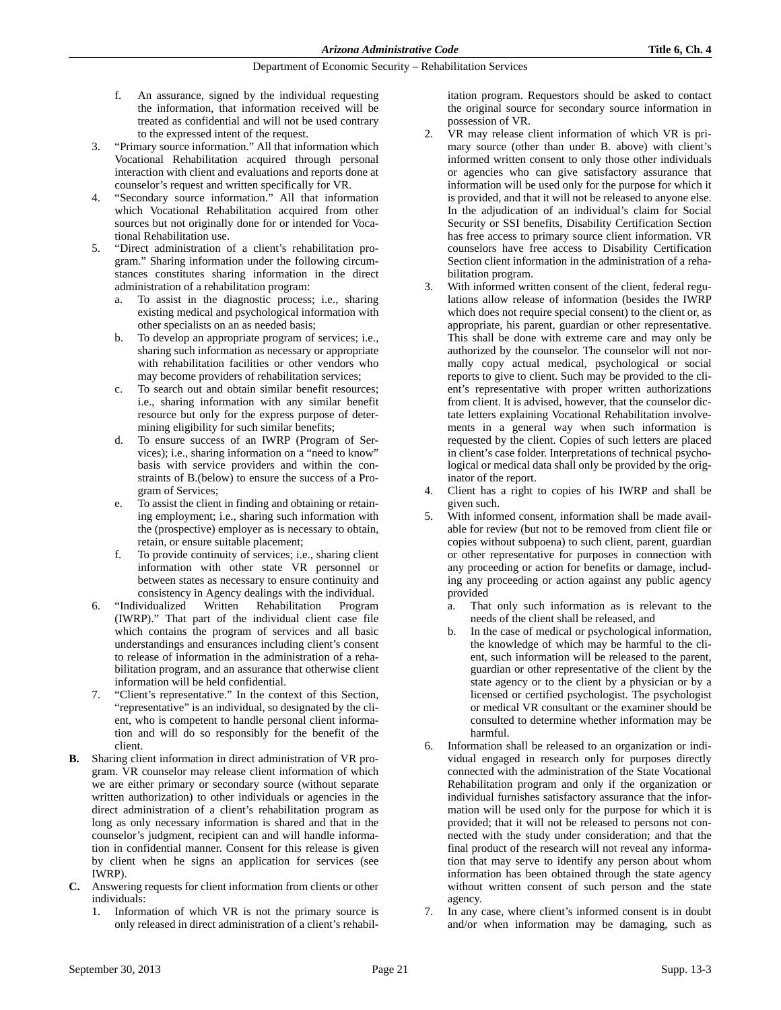- f. An assurance, signed by the individual requesting the information, that information received will be treated as confidential and will not be used contrary to the expressed intent of the request.
- 3. "Primary source information." All that information which Vocational Rehabilitation acquired through personal interaction with client and evaluations and reports done at counselor's request and written specifically for VR.
- "Secondary source information." All that information which Vocational Rehabilitation acquired from other sources but not originally done for or intended for Vocational Rehabilitation use.
- 5. "Direct administration of a client's rehabilitation program." Sharing information under the following circumstances constitutes sharing information in the direct administration of a rehabilitation program:
	- a. To assist in the diagnostic process; i.e., sharing existing medical and psychological information with other specialists on an as needed basis;
	- b. To develop an appropriate program of services; i.e., sharing such information as necessary or appropriate with rehabilitation facilities or other vendors who may become providers of rehabilitation services;
	- c. To search out and obtain similar benefit resources; i.e., sharing information with any similar benefit resource but only for the express purpose of determining eligibility for such similar benefits;
	- d. To ensure success of an IWRP (Program of Services); i.e., sharing information on a "need to know" basis with service providers and within the constraints of B.(below) to ensure the success of a Program of Services;
	- e. To assist the client in finding and obtaining or retaining employment; i.e., sharing such information with the (prospective) employer as is necessary to obtain, retain, or ensure suitable placement;
	- f. To provide continuity of services; i.e., sharing client information with other state VR personnel or between states as necessary to ensure continuity and consistency in Agency dealings with the individual.
- 6. "Individualized Written Rehabilitation Program (IWRP)." That part of the individual client case file which contains the program of services and all basic understandings and ensurances including client's consent to release of information in the administration of a rehabilitation program, and an assurance that otherwise client information will be held confidential.
- "Client's representative." In the context of this Section, "representative" is an individual, so designated by the client, who is competent to handle personal client information and will do so responsibly for the benefit of the client.
- **B.** Sharing client information in direct administration of VR program. VR counselor may release client information of which we are either primary or secondary source (without separate written authorization) to other individuals or agencies in the direct administration of a client's rehabilitation program as long as only necessary information is shared and that in the counselor's judgment, recipient can and will handle information in confidential manner. Consent for this release is given by client when he signs an application for services (see IWRP).
- **C.** Answering requests for client information from clients or other individuals:
	- Information of which VR is not the primary source is only released in direct administration of a client's rehabil-

itation program. Requestors should be asked to contact the original source for secondary source information in possession of VR.

- VR may release client information of which VR is primary source (other than under B. above) with client's informed written consent to only those other individuals or agencies who can give satisfactory assurance that information will be used only for the purpose for which it is provided, and that it will not be released to anyone else. In the adjudication of an individual's claim for Social Security or SSI benefits, Disability Certification Section has free access to primary source client information. VR counselors have free access to Disability Certification Section client information in the administration of a rehabilitation program.
- 3. With informed written consent of the client, federal regulations allow release of information (besides the IWRP which does not require special consent) to the client or, as appropriate, his parent, guardian or other representative. This shall be done with extreme care and may only be authorized by the counselor. The counselor will not normally copy actual medical, psychological or social reports to give to client. Such may be provided to the client's representative with proper written authorizations from client. It is advised, however, that the counselor dictate letters explaining Vocational Rehabilitation involvements in a general way when such information is requested by the client. Copies of such letters are placed in client's case folder. Interpretations of technical psychological or medical data shall only be provided by the originator of the report.
- 4. Client has a right to copies of his IWRP and shall be given such.
- 5. With informed consent, information shall be made available for review (but not to be removed from client file or copies without subpoena) to such client, parent, guardian or other representative for purposes in connection with any proceeding or action for benefits or damage, including any proceeding or action against any public agency provided
	- a. That only such information as is relevant to the needs of the client shall be released, and
	- b. In the case of medical or psychological information, the knowledge of which may be harmful to the client, such information will be released to the parent, guardian or other representative of the client by the state agency or to the client by a physician or by a licensed or certified psychologist. The psychologist or medical VR consultant or the examiner should be consulted to determine whether information may be harmful.
- 6. Information shall be released to an organization or individual engaged in research only for purposes directly connected with the administration of the State Vocational Rehabilitation program and only if the organization or individual furnishes satisfactory assurance that the information will be used only for the purpose for which it is provided; that it will not be released to persons not connected with the study under consideration; and that the final product of the research will not reveal any information that may serve to identify any person about whom information has been obtained through the state agency without written consent of such person and the state agency.
- In any case, where client's informed consent is in doubt and/or when information may be damaging, such as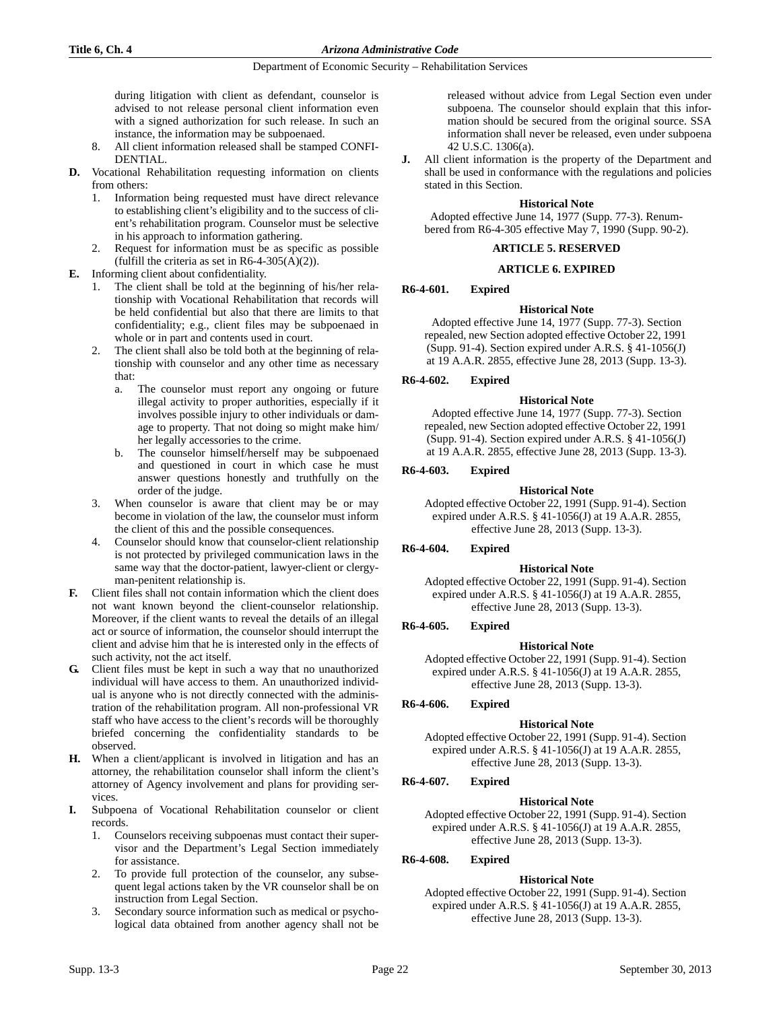during litigation with client as defendant, counselor is advised to not release personal client information even with a signed authorization for such release. In such an instance, the information may be subpoenaed.

- 8. All client information released shall be stamped CONFI-DENTIAL.
- **D.** Vocational Rehabilitation requesting information on clients from others:
	- 1. Information being requested must have direct relevance to establishing client's eligibility and to the success of client's rehabilitation program. Counselor must be selective in his approach to information gathering.
	- Request for information must be as specific as possible (fulfill the criteria as set in  $R6-4-305(A)(2)$ ).
- **E.** Informing client about confidentiality.
	- 1. The client shall be told at the beginning of his/her relationship with Vocational Rehabilitation that records will be held confidential but also that there are limits to that confidentiality; e.g., client files may be subpoenaed in whole or in part and contents used in court.
	- 2. The client shall also be told both at the beginning of relationship with counselor and any other time as necessary that:
		- a. The counselor must report any ongoing or future illegal activity to proper authorities, especially if it involves possible injury to other individuals or damage to property. That not doing so might make him/ her legally accessories to the crime.
		- b. The counselor himself/herself may be subpoenaed and questioned in court in which case he must answer questions honestly and truthfully on the order of the judge.
	- 3. When counselor is aware that client may be or may become in violation of the law, the counselor must inform the client of this and the possible consequences.
	- 4. Counselor should know that counselor-client relationship is not protected by privileged communication laws in the same way that the doctor-patient, lawyer-client or clergyman-penitent relationship is.
- **F.** Client files shall not contain information which the client does not want known beyond the client-counselor relationship. Moreover, if the client wants to reveal the details of an illegal act or source of information, the counselor should interrupt the client and advise him that he is interested only in the effects of such activity, not the act itself.
- **G.** Client files must be kept in such a way that no unauthorized individual will have access to them. An unauthorized individual is anyone who is not directly connected with the administration of the rehabilitation program. All non-professional VR staff who have access to the client's records will be thoroughly briefed concerning the confidentiality standards to be observed.
- **H.** When a client/applicant is involved in litigation and has an attorney, the rehabilitation counselor shall inform the client's attorney of Agency involvement and plans for providing services.
- **I.** Subpoena of Vocational Rehabilitation counselor or client records.
	- 1. Counselors receiving subpoenas must contact their supervisor and the Department's Legal Section immediately for assistance.
	- 2. To provide full protection of the counselor, any subsequent legal actions taken by the VR counselor shall be on instruction from Legal Section.
	- 3. Secondary source information such as medical or psychological data obtained from another agency shall not be

released without advice from Legal Section even under subpoena. The counselor should explain that this information should be secured from the original source. SSA information shall never be released, even under subpoena 42 U.S.C. 1306(a).

**J.** All client information is the property of the Department and shall be used in conformance with the regulations and policies stated in this Section.

### **Historical Note**

Adopted effective June 14, 1977 (Supp. 77-3). Renumbered from R6-4-305 effective May 7, 1990 (Supp. 90-2).

### **ARTICLE 5. RESERVED**

#### **ARTICLE 6. EXPIRED**

### **R6-4-601. Expired**

#### **Historical Note**

Adopted effective June 14, 1977 (Supp. 77-3). Section repealed, new Section adopted effective October 22, 1991 (Supp. 91-4). Section expired under A.R.S. § 41-1056(J) at 19 A.A.R. 2855, effective June 28, 2013 (Supp. 13-3).

### **R6-4-602. Expired**

### **Historical Note**

Adopted effective June 14, 1977 (Supp. 77-3). Section repealed, new Section adopted effective October 22, 1991 (Supp. 91-4). Section expired under A.R.S. § 41-1056(J) at 19 A.A.R. 2855, effective June 28, 2013 (Supp. 13-3).

### **R6-4-603. Expired**

#### **Historical Note**

Adopted effective October 22, 1991 (Supp. 91-4). Section expired under A.R.S. § 41-1056(J) at 19 A.A.R. 2855, effective June 28, 2013 (Supp. 13-3).

### **R6-4-604. Expired**

### **Historical Note**

Adopted effective October 22, 1991 (Supp. 91-4). Section expired under A.R.S. § 41-1056(J) at 19 A.A.R. 2855, effective June 28, 2013 (Supp. 13-3).

### **R6-4-605. Expired**

### **Historical Note**

Adopted effective October 22, 1991 (Supp. 91-4). Section expired under A.R.S. § 41-1056(J) at 19 A.A.R. 2855, effective June 28, 2013 (Supp. 13-3).

### **R6-4-606. Expired**

### **Historical Note**

Adopted effective October 22, 1991 (Supp. 91-4). Section expired under A.R.S. § 41-1056(J) at 19 A.A.R. 2855, effective June 28, 2013 (Supp. 13-3).

### **R6-4-607. Expired**

### **Historical Note**

Adopted effective October 22, 1991 (Supp. 91-4). Section expired under A.R.S. § 41-1056(J) at 19 A.A.R. 2855, effective June 28, 2013 (Supp. 13-3).

# **R6-4-608. Expired**

### **Historical Note**

Adopted effective October 22, 1991 (Supp. 91-4). Section expired under A.R.S. § 41-1056(J) at 19 A.A.R. 2855, effective June 28, 2013 (Supp. 13-3).